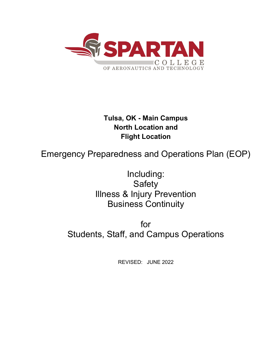

# **Tulsa, OK - Main Campus North Location and Flight Location**

Emergency Preparedness and Operations Plan (EOP)

Including: **Safety** Illness & Injury Prevention Business Continuity

for Students, Staff, and Campus Operations

REVISED: JUNE 2022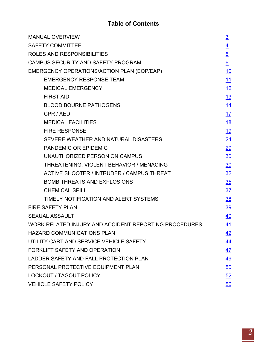# **Table of Contents**

| <b>MANUAL OVERVIEW</b>                                | $\overline{3}$  |  |
|-------------------------------------------------------|-----------------|--|
| <b>SAFETY COMMITTEE</b>                               |                 |  |
| ROLES AND RESPONSIBILITIES                            |                 |  |
| CAMPUS SECURITY AND SAFETY PROGRAM                    | 9               |  |
| EMERGENCY OPERATIONS/ACTION PLAN (EOP/EAP)            |                 |  |
| <b>EMERGENCY RESPONSE TEAM</b>                        | 11              |  |
| <b>MEDICAL EMERGENCY</b>                              | 12              |  |
| <b>FIRST AID</b>                                      | 13              |  |
| <b>BLOOD BOURNE PATHOGENS</b>                         | 14              |  |
| CPR / AED                                             | 17              |  |
| <b>MEDICAL FACILITIES</b>                             | <u>18</u>       |  |
| <b>FIRE RESPONSE</b>                                  | <u>19</u>       |  |
| SEVERE WEATHER AND NATURAL DISASTERS                  | $\overline{24}$ |  |
| <b>PANDEMIC OR EPIDEMIC</b>                           | $\overline{29}$ |  |
| UNAUTHORIZED PERSON ON CAMPUS                         | 30              |  |
| THREATENING, VIOLENT BEHAVIOR / MENACING              | 30              |  |
| <b>ACTIVE SHOOTER / INTRUDER / CAMPUS THREAT</b>      | 32              |  |
| <b>BOMB THREATS AND EXPLOSIONS</b>                    | 35              |  |
| <b>CHEMICAL SPILL</b>                                 | 37              |  |
| TIMELY NOTIFICATION AND ALERT SYSTEMS                 | $\frac{38}{2}$  |  |
| <b>FIRE SAFETY PLAN</b>                               | <u>39</u>       |  |
| <b>SEXUAL ASSAULT</b>                                 |                 |  |
| WORK RELATED INJURY AND ACCIDENT REPORTING PROCEDURES |                 |  |
| <b>HAZARD COMMUNICATIONS PLAN</b>                     |                 |  |
| UTILITY CART AND SERVICE VEHICLE SAFETY               | 44              |  |
| <b>FORKLIFT SAFETY AND OPERATION</b>                  | 47              |  |
| LADDER SAFETY AND FALL PROTECTION PLAN                |                 |  |
| PERSONAL PROTECTIVE EQUIPMENT PLAN                    |                 |  |
| <b>LOCKOUT / TAGOUT POLICY</b>                        |                 |  |
| <b>VEHICLE SAFETY POLICY</b>                          |                 |  |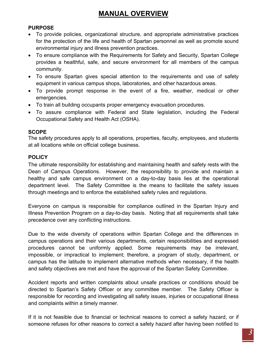# <span id="page-2-0"></span>**MANUAL OVERVIEW**

## **PURPOSE**

- To provide policies, organizational structure, and appropriate administrative practices for the protection of the life and health of Spartan personnel as well as promote sound environmental injury and illness prevention practices.
- To ensure compliance with the Requirements for Safety and Security, Spartan College provides a healthful, safe, and secure environment for all members of the campus community.
- To ensure Spartan gives special attention to the requirements and use of safety equipment in various campus shops, laboratories, and other hazardous areas.
- To provide prompt response in the event of a fire, weather, medical or other emergencies.
- To train all building occupants proper emergency evacuation procedures.
- To assure compliance with Federal and State legislation, including the Federal Occupational Safety and Health Act (OSHA).

## **SCOPE**

The safety procedures apply to all operations, properties, faculty, employees, and students at all locations while on official college business.

## **POLICY**

The ultimate responsibility for establishing and maintaining health and safety rests with the Dean of Campus Operations. However, the responsibility to provide and maintain a healthy and safe campus environment on a day-to-day basis lies at the operational department level. The Safety Committee is the means to facilitate the safety issues through meetings and to enforce the established safety rules and regulations.

Everyone on campus is responsible for compliance outlined in the Spartan Injury and Illness Prevention Program on a day-to-day basis. Noting that all requirements shall take precedence over any conflicting instructions.

Due to the wide diversity of operations within Spartan College and the differences in campus operations and their various departments, certain responsibilities and expressed procedures cannot be uniformly applied. Some requirements may be irrelevant, impossible, or impractical to implement; therefore, a program of study, department, or campus has the latitude to implement alternative methods when necessary, if the health and safety objectives are met and have the approval of the Spartan Safety Committee.

Accident reports and written complaints about unsafe practices or conditions should be directed to Spartan's Safety Officer or any committee member. The Safety Officer is responsible for recording and investigating all safety issues, injuries or occupational illness and complaints within a timely manner.

If it is not feasible due to financial or technical reasons to correct a safety hazard, or if someone refuses for other reasons to correct a safety hazard after having been notified to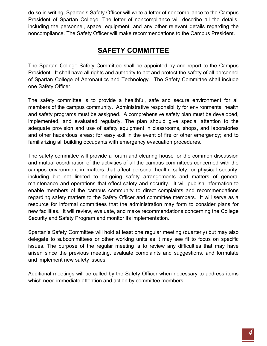do so in writing, Spartan's Safety Officer will write a letter of noncompliance to the Campus President of Spartan College. The letter of noncompliance will describe all the details, including the personnel, space, equipment, and any other relevant details regarding the noncompliance. The Safety Officer will make recommendations to the Campus President.

# **SAFETY COMMITTEE**

<span id="page-3-0"></span>The Spartan College Safety Committee shall be appointed by and report to the Campus President. It shall have all rights and authority to act and protect the safety of all personnel of Spartan College of Aeronautics and Technology. The Safety Committee shall include one Safety Officer.

The safety committee is to provide a healthful, safe and secure environment for all members of the campus community. Administrative responsibility for environmental health and safety programs must be assigned. A comprehensive safety plan must be developed, implemented, and evaluated regularly. The plan should give special attention to the adequate provision and use of safety equipment in classrooms, shops, and laboratories and other hazardous areas; for easy exit in the event of fire or other emergency; and to familiarizing all building occupants with emergency evacuation procedures.

The safety committee will provide a forum and clearing house for the common discussion and mutual coordination of the activities of all the campus committees concerned with the campus environment in matters that affect personal health, safety, or physical security, including but not limited to on-going safety arrangements and matters of general maintenance and operations that effect safety and security. It will publish information to enable members of the campus community to direct complaints and recommendations regarding safety matters to the Safety Officer and committee members. It will serve as a resource for informal committees that the administration may form to consider plans for new facilities. It will review, evaluate, and make recommendations concerning the College Security and Safety Program and monitor its implementation.

Spartan's Safety Committee will hold at least one regular meeting (quarterly) but may also delegate to subcommittees or other working units as it may see fit to focus on specific issues. The purpose of the regular meeting is to review any difficulties that may have arisen since the previous meeting, evaluate complaints and suggestions, and formulate and implement new safety issues.

Additional meetings will be called by the Safety Officer when necessary to address items which need immediate attention and action by committee members.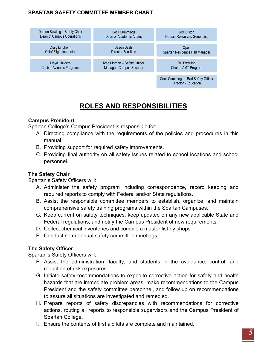# **SPARTAN SAFETY COMMITTEE MEMBER CHART**



# **ROLES AND RESPONSIBILITIES**

## <span id="page-4-0"></span>**Campus President**

Spartan College's Campus President is responsible for:

- A. Directing compliance with the requirements of the policies and procedures in this manual.
- B. Providing support for required safety improvements.
- C. Providing final authority on all safety issues related to school locations and school personnel.

## **The Safety Chair**

Spartan's Safety Officers will:

- A. Administer the safety program including correspondence, record keeping and required reports to comply with Federal and/or State regulations.
- B. Assist the responsible committee members to establish, organize, and maintain comprehensive safety training programs within the Spartan Campuses.
- C. Keep current on safety techniques, keep updated on any new applicable State and Federal regulations, and notify the Campus President of new requirements.
- D. Collect chemical inventories and compile a master list by shops.
- E. Conduct semi-annual safety committee meetings.

## **The Safety Officer**

Spartan's Safety Officers will:

- F. Assist the administration, faculty, and students in the avoidance, control, and reduction of risk exposures.
- G. Initiate safety recommendations to expedite corrective action for safety and health hazards that are immediate problem areas, make recommendations to the Campus President and the safety committee personnel, and follow up on recommendations to assure all situations are investigated and remedied.
- H. Prepare reports of safety discrepancies with recommendations for corrective actions, routing all reports to responsible supervisors and the Campus President of Spartan College.
- I. Ensure the contents of first aid kits are complete and maintained.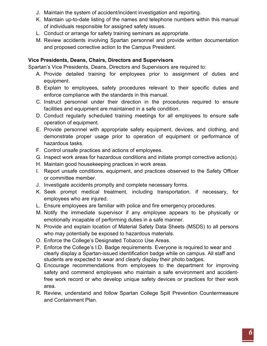- J. Maintain the system of accident/incident investigation and reporting.
- K. Maintain up-to-date listing of the names and telephone numbers within this manual of individuals responsible for assigned safety issues.
- L. Conduct or arrange for safety training seminars as appropriate.
- M. Review accidents involving Spartan personnel and provide written documentation and proposed corrective action to the Campus President.

## **Vice Presidents, Deans, Chairs, Directors and Supervisors**

Spartan's Vice Presidents, Deans, Directors and Supervisors are required to:

- A. Provide detailed training for employees prior to assignment of duties and equipment.
- B. Explain to employees, safety procedures relevant to their specific duties and enforce compliance with the standards in this manual.
- C. Instruct personnel under their direction in the procedures required to ensure facilities and equipment are maintained in a safe condition.
- D. Conduct regularly scheduled training meetings for all employees to ensure safe operation of equipment.
- E. Provide personnel with appropriate safety equipment, devices, and clothing, and demonstrate proper usage prior to operation of equipment or performance of hazardous tasks.
- F. Control unsafe practices and actions of employees.
- G. Inspect work areas for hazardous conditions and initiate prompt corrective action(s).
- H. Maintain good housekeeping practices in work areas.
- I. Report unsafe conditions, equipment, and practices observed to the Safety Officer or committee member.
- J. Investigate accidents promptly and complete necessary forms.
- K. Seek prompt medical treatment, including transportation, if necessary, for employees who are injured.
- L. Ensure employees are familiar with police and fire emergency procedures.
- M. Notify the immediate supervisor if any employee appears to be physically or emotionally incapable of performing duties in a safe manner.
- N. Provide and explain location of Material Safety Data Sheets (MSDS) to all persons who may potentially be exposed to hazardous materials.
- O. Enforce the College's Designated Tobacco Use Areas.
- P. Enforce the College's I.D. Badge requirements. Everyone is required to wear and clearly display a Spartan-issued identification badge while on campus. All staff and students are expected to wear and clearly display their photo badges.
- Q. Encourage recommendations from employees to the department for improving safety and commend employees who maintain a safe environment and accidentfree work record or who develop unique safety devices or practices for their work area.
- R. Review, understand and follow Spartan College Spill Prevention Countermeasure and Containment Plan.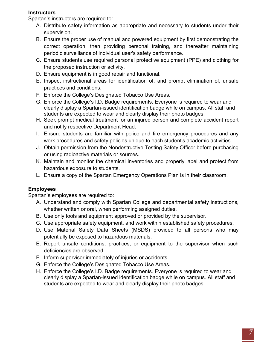## **Instructors**

Spartan's instructors are required to:

- A. Distribute safety information as appropriate and necessary to students under their supervision.
- B. Ensure the proper use of manual and powered equipment by first demonstrating the correct operation, then providing personal training, and thereafter maintaining periodic surveillance of individual user's safety performance.
- C. Ensure students use required personal protective equipment (PPE) and clothing for the proposed instruction or activity.
- D. Ensure equipment is in good repair and functional.
- E. Inspect instructional areas for identification of, and prompt elimination of, unsafe practices and conditions.
- F. Enforce the College's Designated Tobacco Use Areas.
- G. Enforce the College's I.D. Badge requirements. Everyone is required to wear and clearly display a Spartan-issued identification badge while on campus. All staff and students are expected to wear and clearly display their photo badges.
- H. Seek prompt medical treatment for an injured person and complete accident report and notify respective Department Head.
- I. Ensure students are familiar with police and fire emergency procedures and any work procedures and safety policies unique to each student's academic activities.
- J. Obtain permission from the Nondestructive Testing Safety Officer before purchasing or using radioactive materials or sources.
- K. Maintain and monitor the chemical inventories and properly label and protect from hazardous exposure to students.
- L. Ensure a copy of the Spartan Emergency Operations Plan is in their classroom.

## **Employees**

Spartan's employees are required to:

- A. Understand and comply with Spartan College and departmental safety instructions, whether written or oral, when performing assigned duties.
- B. Use only tools and equipment approved or provided by the supervisor.
- C. Use appropriate safety equipment, and work within established safety procedures.
- D. Use Material Safety Data Sheets (MSDS) provided to all persons who may potentially be exposed to hazardous materials.
- E. Report unsafe conditions, practices, or equipment to the supervisor when such deficiencies are observed.
- F. Inform supervisor immediately of injuries or accidents.
- G. Enforce the College's Designated Tobacco Use Areas.
- H. Enforce the College's I.D. Badge requirements. Everyone is required to wear and clearly display a Spartan-issued identification badge while on campus. All staff and students are expected to wear and clearly display their photo badges.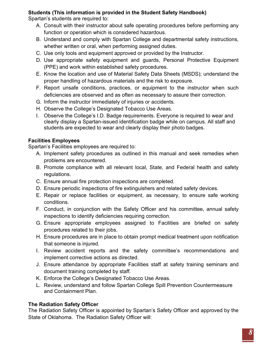# **Students (This information is provided in the Student Safety Handbook)**

Spartan's students are required to:

- A. Consult with their instructor about safe operating procedures before performing any function or operation which is considered hazardous.
- B. Understand and comply with Spartan College and departmental safety instructions, whether written or oral, when performing assigned duties.
- C. Use only tools and equipment approved or provided by the Instructor.
- D. Use appropriate safety equipment and guards, Personal Protective Equipment (PPE) and work within established safety procedures.
- E. Know the location and use of Material Safety Data Sheets (MSDS); understand the proper handling of hazardous materials and the risk to exposure.
- F. Report unsafe conditions, practices, or equipment to the instructor when such deficiencies are observed and as often as necessary to assure their correction.
- G. Inform the instructor immediately of injuries or accidents.
- H. Observe the College's Designated Tobacco Use Areas.
- I. Observe the College's I.D. Badge requirements. Everyone is required to wear and clearly display a Spartan-issued identification badge while on campus. All staff and students are expected to wear and clearly display their photo badges.

## **Facilities Employees**

Spartan's Facilities employees are required to:

- A. Implement safety procedures as outlined in this manual and seek remedies when problems are encountered.
- B. Promote compliance with all relevant local, State, and Federal health and safety regulations.
- C. Ensure annual fire protection inspections are completed.
- D. Ensure periodic inspections of fire extinguishers and related safety devices.
- E. Repair or replace facilities or equipment, as necessary, to ensure safe working conditions.
- F. Conduct, in conjunction with the Safety Officer and his committee, annual safety inspections to identify deficiencies requiring correction.
- G. Ensure appropriate employees assigned to Facilities are briefed on safety procedures related to their jobs.
- H. Ensure procedures are in place to obtain prompt medical treatment upon notification that someone is injured.
- I. Review accident reports and the safety committee's recommendations and implement corrective actions as directed.
- J. Ensure attendance by appropriate Facilities staff at safety training seminars and document training completed by staff.
- K. Enforce the College's Designated Tobacco Use Areas.
- L. Review, understand and follow Spartan College Spill Prevention Countermeasure and Containment Plan.

# **The Radiation Safety Officer**

The Radiation Safety Officer is appointed by Spartan's Safety Officer and approved by the State of Oklahoma. The Radiation Safety Officer will: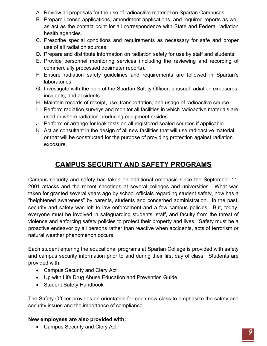- A. Review all proposals for the use of radioactive material on Spartan Campuses.
- B. Prepare license applications, amendment applications, and required reports as well as act as the contact point for all correspondence with State and Federal radiation health agencies.
- C. Prescribe special conditions and requirements as necessary for safe and proper use of all radiation sources.
- D. Prepare and distribute information on radiation safety for use by staff and students.
- E. Provide personnel monitoring services (including the reviewing and recording of commercially processed dosimeter reports).
- F. Ensure radiation safety guidelines and requirements are followed in Spartan's laboratories.
- G. Investigate with the help of the Spartan Safety Officer, unusual radiation exposures, incidents, and accidents.
- H. Maintain records of receipt, use, transportation, and usage of radioactive source.
- I. Perform radiation surveys and monitor all facilities in which radioactive materials are used or where radiation-producing equipment resides.
- J. Perform or arrange for leak tests on all registered sealed sources if applicable.
- K. Act as consultant in the design of all new facilities that will use radioactive material or that will be constructed for the purpose of providing protection against radiation exposure.

# **CAMPUS SECURITY AND SAFETY PROGRAMS**

<span id="page-8-0"></span>Campus security and safety has taken on additional emphasis since the September 11, 2001 attacks and the recent shootings at several colleges and universities. What was taken for granted several years ago by school officials regarding student safety, now has a "heightened awareness" by parents, students and concerned administration. In the past, security and safety was left to law enforcement and a few campus policies. But, today, everyone must be involved in safeguarding students, staff, and faculty from the threat of violence and enforcing safety policies to protect their property and lives. Safety must be a proactive endeavor by all persons rather than reactive when accidents, acts of terrorism or natural weather phenomenon occurs.

Each student entering the educational programs at Spartan College is provided with safety and campus security information prior to and during their first day of class. Students are provided with:

- Campus Security and Clery Act
- Up with Life Drug Abuse Education and Prevention Guide
- Student Safety Handbook

The Safety Officer provides an orientation for each new class to emphasize the safety and security issues and the importance of compliance.

## **New employees are also provided with:**

• Campus Security and Clery Act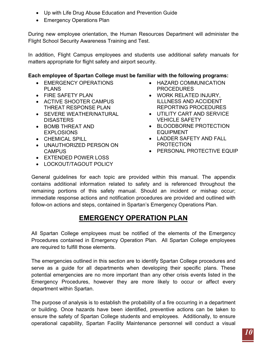- Up with Life Drug Abuse Education and Prevention Guide
- Emergency Operations Plan

During new employee orientation, the Human Resources Department will administer the Flight School Security Awareness Training and Test.

In addition, Flight Campus employees and students use additional safety manuals for matters appropriate for flight safety and airport security.

# **Each employee of Spartan College must be familiar with the following programs:**

- EMERGENCY OPERATIONS PLANS
- FIRE SAFETY PLAN
- ACTIVE SHOOTER CAMPUS THREAT RESPONSE PLAN
- SEVERE WEATHER/NATURAL **DISASTERS**
- BOMB THREAT AND EXPLOSIONS
- CHEMICAL SPILL
- UNAUTHORIZED PERSON ON **CAMPUS**
- EXTENDED POWER LOSS
- LOCKOUT/TAGOUT POLICY
- HAZARD COMMUNICATION PROCEDURES
- WORK RELATED INJURY, ILLLNESS AND ACCIDENT REPORTING PROCEDURES
- UTILITY CART AND SERVICE VEHICLE SAFETY
- BLOODBORNE PROTECTION EQUIPMENT
- LADDER SAFETY AND FALL PROTECTION
- PERSONAL PROTECTIVE EQUIP

General guidelines for each topic are provided within this manual. The appendix contains additional information related to safety and is referenced throughout the remaining portions of this safety manual. Should an incident or mishap occur; immediate response actions and notification procedures are provided and outlined with follow-on actions and steps, contained in Spartan's Emergency Operations Plan.

# **EMERGENCY OPERATION PLAN**

<span id="page-9-0"></span>All Spartan College employees must be notified of the elements of the Emergency Procedures contained in Emergency Operation Plan. All Spartan College employees are required to fulfill those elements.

The emergencies outlined in this section are to identify Spartan College procedures and serve as a guide for all departments when developing their specific plans. These potential emergencies are no more important than any other crisis events listed in the Emergency Procedures, however they are more likely to occur or affect every department within Spartan.

The purpose of analysis is to establish the probability of a fire occurring in a department or building. Once hazards have been identified, preventive actions can be taken to ensure the safety of Spartan College students and employees. Additionally, to ensure operational capability, Spartan Facility Maintenance personnel will conduct a visual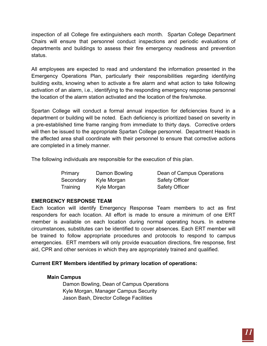inspection of all College fire extinguishers each month. Spartan College Department Chairs will ensure that personnel conduct inspections and periodic evaluations of departments and buildings to assess their fire emergency readiness and prevention status.

All employees are expected to read and understand the information presented in the Emergency Operations Plan, particularly their responsibilities regarding identifying building exits, knowing when to activate a fire alarm and what action to take following activation of an alarm, i.e., identifying to the responding emergency response personnel the location of the alarm station activated and the location of the fire/smoke.

Spartan College will conduct a formal annual inspection for deficiencies found in a department or building will be noted. Each deficiency is prioritized based on severity in a pre-established time frame ranging from immediate to thirty days. Corrective orders will then be issued to the appropriate Spartan College personnel. Department Heads in the affected area shall coordinate with their personnel to ensure that corrective actions are completed in a timely manner.

The following individuals are responsible for the execution of this plan.

| Primary   | Damon Bowling | Dean of Campus Operations |
|-----------|---------------|---------------------------|
| Secondary | Kyle Morgan   | <b>Safety Officer</b>     |
| Training  | Kyle Morgan   | <b>Safety Officer</b>     |

## <span id="page-10-0"></span>**EMERGENCY RESPONSE TEAM**

Each location will identify Emergency Response Team members to act as first responders for each location. All effort is made to ensure a minimum of one ERT member is available on each location during normal operating hours. In extreme circumstances, substitutes can be identified to cover absences. Each ERT member will be trained to follow appropriate procedures and protocols to respond to campus emergencies. ERT members will only provide evacuation directions, fire response, first aid, CPR and other services in which they are appropriately trained and qualified.

## **Current ERT Members identified by primary location of operations:**

## **Main Campus**

Damon Bowling, Dean of Campus Operations Kyle Morgan, Manager Campus Security Jason Bash, Director College Facilities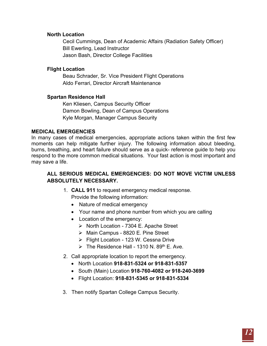#### **North Location**

Cecil Cummings, Dean of Academic Affairs (Radiation Safety Officer) Bill Ewerling, Lead Instructor Jason Bash, Director College Facilities

#### **Flight Location**

Beau Schrader, Sr. Vice President Flight Operations Aldo Ferrari, Director Aircraft Maintenance

#### **Spartan Residence Hall**

Ken Kliesen, Campus Security Officer Damon Bowling, Dean of Campus Operations Kyle Morgan, Manager Campus Security

#### <span id="page-11-0"></span>**MEDICAL EMERGENCIES**

In many cases of medical emergencies, appropriate actions taken within the first few moments can help mitigate further injury. The following information about bleeding, burns, breathing, and heart failure should serve as a quick- reference guide to help you respond to the more common medical situations. Your fast action is most important and may save a life.

#### **ALL SERIOUS MEDICAL EMERGENCIES: DO NOT MOVE VICTIM UNLESS ABSOLUTELY NECESSARY.**

1. **CALL 911** to request emergency medical response.

Provide the following information:

- Nature of medical emergency
- Your name and phone number from which you are calling
- Location of the emergency:
	- ▶ North Location 7304 E. Apache Street
	- Main Campus 8820 E. Pine Street
	- Flight Location 123 W. Cessna Drive
	- $\triangleright$  The Residence Hall 1310 N. 89<sup>th</sup> E. Ave.
- 2. Call appropriate location to report the emergency.
	- North Location **918-831-5324 or 918-831-5357**
	- South (Main) Location **918-760-4082 or 918-240-3699**
	- Flight Location: **918-831-5345 or 918-831-5334**
- 3. Then notify Spartan College Campus Security.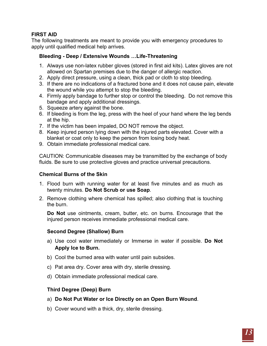## <span id="page-12-0"></span>**FIRST AID**

The following treatments are meant to provide you with emergency procedures to apply until qualified medical help arrives.

#### **Bleeding - Deep / Extensive Wounds …Life-Threatening**

- 1. Always use non-latex rubber gloves (stored in first aid kits). Latex gloves are not allowed on Spartan premises due to the danger of allergic reaction.
- 2. Apply direct pressure, using a clean, thick pad or cloth to stop bleeding.
- 3. If there are no indications of a fractured bone and it does not cause pain, elevate the wound while you attempt to stop the bleeding.
- 4. Firmly apply bandage to further stop or control the bleeding. Do not remove this bandage and apply additional dressings.
- 5. Squeeze artery against the bone.
- 6. If bleeding is from the leg, press with the heel of your hand where the leg bends at the hip.
- 7. If the victim has been impaled, DO NOT remove the object.
- 8. Keep injured person lying down with the injured parts elevated. Cover with a blanket or coat only to keep the person from losing body heat.
- 9. Obtain immediate professional medical care.

CAUTION: Communicable diseases may be transmitted by the exchange of body fluids. Be sure to use protective gloves and practice universal precautions.

#### **Chemical Burns of the Skin**

- 1. Flood burn with running water for at least five minutes and as much as twenty minutes. **Do Not Scrub or use Soap**.
- 2. Remove clothing where chemical has spilled; also clothing that is touching the burn.

**Do Not** use ointments, cream, butter, etc. on burns. Encourage that the injured person receives immediate professional medical care.

## **Second Degree (Shallow) Burn**

- a) Use cool water immediately or Immerse in water if possible. **Do Not Apply Ice to Burn.**
- b) Cool the burned area with water until pain subsides.
- c) Pat area dry. Cover area with dry, sterile dressing.
- d) Obtain immediate professional medical care.

## **Third Degree (Deep) Burn**

- a) **Do Not Put Water or Ice Directly on an Open Burn Wound**.
- b) Cover wound with a thick, dry, sterile dressing.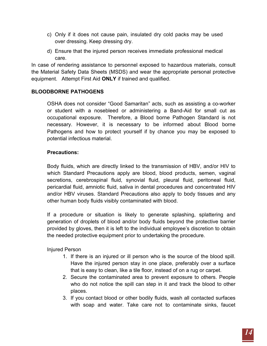- c) Only if it does not cause pain, insulated dry cold packs may be used over dressing. Keep dressing dry.
- d) Ensure that the injured person receives immediate professional medical care.

In case of rendering assistance to personnel exposed to hazardous materials, consult the Material Safety Data Sheets (MSDS) and wear the appropriate personal protective equipment. Attempt First Aid **ONLY** if trained and qualified.

## <span id="page-13-0"></span>**BLOODBORNE PATHOGENS**

OSHA does not consider "Good Samaritan" acts, such as assisting a co-worker or student with a nosebleed or administering a Band-Aid for small cut as occupational exposure. Therefore, a Blood borne Pathogen Standard is not necessary. However, it is necessary to be informed about Blood borne Pathogens and how to protect yourself if by chance you may be exposed to potential infectious material.

#### **Precautions:**

Body fluids, which are directly linked to the transmission of HBV, and/or HIV to which Standard Precautions apply are blood, blood products, semen, vaginal secretions, cerebrospinal fluid, synovial fluid, pleural fluid, peritoneal fluid, pericardial fluid, amniotic fluid, saliva in dental procedures and concentrated HIV and/or HBV viruses. Standard Precautions also apply to body tissues and any other human body fluids visibly contaminated with blood.

If a procedure or situation is likely to generate splashing, splattering and generation of droplets of blood and/or body fluids beyond the protective barrier provided by gloves, then it is left to the individual employee's discretion to obtain the needed protective equipment prior to undertaking the procedure.

Injured Person

- 1. If there is an injured or ill person who is the source of the blood spill. Have the injured person stay in one place, preferably over a surface that is easy to clean, like a tile floor, instead of on a rug or carpet.
- 2. Secure the contaminated area to prevent exposure to others. People who do not notice the spill can step in it and track the blood to other places.
- 3. If you contact blood or other bodily fluids, wash all contacted surfaces with soap and water. Take care not to contaminate sinks, faucet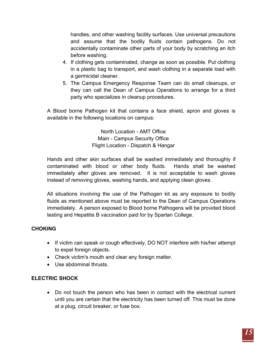handles, and other washing facility surfaces. Use universal precautions and assume that the bodily fluids contain pathogens. Do not accidentally contaminate other parts of your body by scratching an itch before washing.

- 4. If clothing gets contaminated, change as soon as possible. Put clothing in a plastic bag to transport, and wash clothing in a separate load with a germicidal cleaner.
- 5. The Campus Emergency Response Team can do small cleanups, or they can call the Dean of Campus Operations to arrange for a third party who specializes in cleanup procedures.

A Blood borne Pathogen kit that contains a face shield, apron and gloves is available in the following locations on campus:

> North Location - AMT Office Main - Campus Security Office Flight Location - Dispatch & Hangar

Hands and other skin surfaces shall be washed immediately and thoroughly if contaminated with blood or other body fluids. Hands shall be washed immediately after gloves are removed. It is not acceptable to wash gloves instead of removing gloves, washing hands, and applying clean gloves.

All situations involving the use of the Pathogen kit as any exposure to bodily fluids as mentioned above must be reported to the Dean of Campus Operations immediately. A person exposed to Blood borne Pathogens will be provided blood testing and Hepatitis B vaccination paid for by Spartan College.

## **CHOKING**

- If victim can speak or cough effectively, DO NOT interfere with his/her attempt to expel foreign objects.
- Check victim's mouth and clear any foreign matter.
- Use abdominal thrusts

## **ELECTRIC SHOCK**

• Do not touch the person who has been in contact with the electrical current until you are certain that the electricity has been turned off. This must be done at a plug, circuit breaker, or fuse box.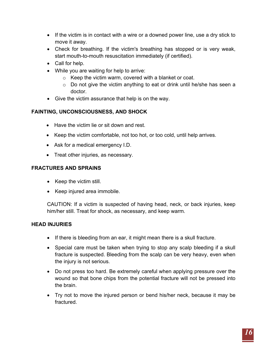- If the victim is in contact with a wire or a downed power line, use a dry stick to move it away.
- Check for breathing. If the victim's breathing has stopped or is very weak, start mouth-to-mouth resuscitation immediately (if certified).
- Call for help.
- While you are waiting for help to arrive:
	- o Keep the victim warm, covered with a blanket or coat.
	- o Do not give the victim anything to eat or drink until he/she has seen a doctor.
- Give the victim assurance that help is on the way.

## **FAINTING, UNCONSCIOUSNESS, AND SHOCK**

- Have the victim lie or sit down and rest.
- Keep the victim comfortable, not too hot, or too cold, until help arrives.
- Ask for a medical emergency I.D.
- Treat other injuries, as necessary.

## **FRACTURES AND SPRAINS**

- Keep the victim still.
- Keep injured area immobile.

CAUTION: If a victim is suspected of having head, neck, or back injuries, keep him/her still. Treat for shock, as necessary, and keep warm.

## **HEAD INJURIES**

- If there is bleeding from an ear, it might mean there is a skull fracture.
- Special care must be taken when trying to stop any scalp bleeding if a skull fracture is suspected. Bleeding from the scalp can be very heavy, even when the injury is not serious.
- Do not press too hard. Be extremely careful when applying pressure over the wound so that bone chips from the potential fracture will not be pressed into the brain.
- Try not to move the injured person or bend his/her neck, because it may be fractured.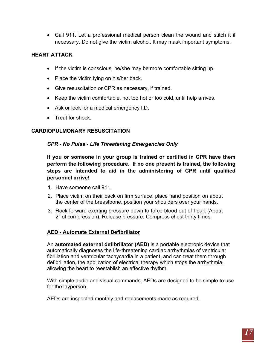• Call 911. Let a professional medical person clean the wound and stitch it if necessary. Do not give the victim alcohol. It may mask important symptoms.

## **HEART ATTACK**

- If the victim is conscious, he/she may be more comfortable sitting up.
- Place the victim lying on his/her back.
- Give resuscitation or CPR as necessary, if trained.
- Keep the victim comfortable, not too hot or too cold, until help arrives.
- Ask or look for a medical emergency I.D.
- Treat for shock

#### <span id="page-16-0"></span>**CARDIOPULMONARY RESUSCITATION**

#### *CPR - No Pulse - Life Threatening Emergencies Only*

**If you or someone in your group is trained or certified in CPR have them perform the following procedure. If no one present is trained, the following steps are intended to aid in the administering of CPR until qualified personnel arrive!**

- 1. Have someone call 911.
- 2. Place victim on their back on firm surface, place hand position on about the center of the breastbone, position your shoulders over your hands.
- 3. Rock forward exerting pressure down to force blood out of heart (About 2" of compression). Release pressure. Compress chest thirty times.

#### **AED - Automate External Defibrillator**

An **automated external defibrillator (AED)** is a portable electronic device that automatically diagnoses the life-threatening cardiac arrhythmias of ventricular fibrillation and ventricular tachycardia in a patient, and can treat them through defibrillation, the application of electrical therapy which stops the arrhythmia, allowing the heart to reestablish an effective rhythm.

With simple audio and visual commands, AEDs are designed to be simple to use for the layperson.

AEDs are inspected monthly and replacements made as required.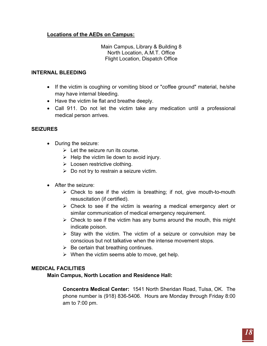## **Locations of the AEDs on Campus:**

Main Campus, Library & Building 8 North Location, A.M.T. Office Flight Location, Dispatch Office

#### **INTERNAL BLEEDING**

- If the victim is coughing or vomiting blood or "coffee ground" material, he/she may have internal bleeding.
- Have the victim lie flat and breathe deeply.
- Call 911. Do not let the victim take any medication until a professional medical person arrives.

#### **SEIZURES**

- During the seizure:
	- $\triangleright$  Let the seizure run its course.
	- $\triangleright$  Help the victim lie down to avoid injury.
	- $\triangleright$  Loosen restrictive clothing.
	- $\triangleright$  Do not try to restrain a seizure victim.
- After the seizure:
	- $\triangleright$  Check to see if the victim is breathing; if not, give mouth-to-mouth resuscitation (if certified).
	- $\triangleright$  Check to see if the victim is wearing a medical emergency alert or similar communication of medical emergency requirement.
	- $\triangleright$  Check to see if the victim has any burns around the mouth, this might indicate poison.
	- $\triangleright$  Stay with the victim. The victim of a seizure or convulsion may be conscious but not talkative when the intense movement stops.
	- $\triangleright$  Be certain that breathing continues.
	- $\triangleright$  When the victim seems able to move, get help.

#### <span id="page-17-0"></span>**MEDICAL FACILITIES**

**Main Campus, North Location and Residence Hall:** 

**Concentra Medical Center:** 1541 North Sheridan Road, Tulsa, OK. The phone number is (918) 836-5406. Hours are Monday through Friday 8:00 am to 7:00 pm.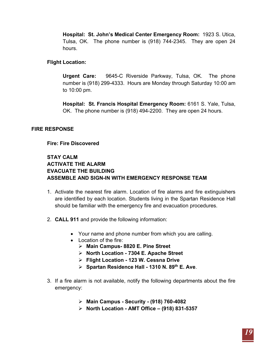**Hospital: St. John's Medical Center Emergency Room:** 1923 S. Utica, Tulsa, OK. The phone number is (918) 744-2345. They are open 24 hours.

#### **Flight Location:**

**Urgent Care:** 9645-C Riverside Parkway, Tulsa, OK. The phone number is (918) 299-4333. Hours are Monday through Saturday 10:00 am to 10:00 pm.

**Hospital: St. Francis Hospital Emergency Room:** 6161 S. Yale, Tulsa, OK. The phone number is (918) 494-2200. They are open 24 hours.

#### <span id="page-18-0"></span>**FIRE RESPONSE**

#### **Fire: Fire Discovered**

## **STAY CALM ACTIVATE THE ALARM EVACUATE THE BUILDING ASSEMBLE AND SIGN-IN WITH EMERGENCY RESPONSE TEAM**

- 1. Activate the nearest fire alarm. Location of fire alarms and fire extinguishers are identified by each location. Students living in the Spartan Residence Hall should be familiar with the emergency fire and evacuation procedures.
- 2. **CALL 911** and provide the following information:
	- Your name and phone number from which you are calling.
	- Location of the fire:
		- **Main Campus- 8820 E. Pine Street**
		- **North Location - 7304 E. Apache Street**
		- **Flight Location - 123 W. Cessna Drive**
		- **Spartan Residence Hall - 1310 N. 89th E. Ave**.
- 3. If a fire alarm is not available, notify the following departments about the fire emergency:
	- **Main Campus - Security - (918) 760-4082**
	- **North Location - AMT Office – (918) 831-5357**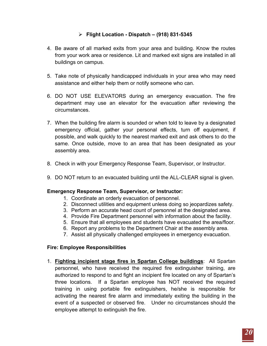## **Flight Location - Dispatch – (918) 831-5345**

- 4. Be aware of all marked exits from your area and building. Know the routes from your work area or residence. Lit and marked exit signs are installed in all buildings on campus.
- 5. Take note of physically handicapped individuals in your area who may need assistance and either help them or notify someone who can.
- 6. DO NOT USE ELEVATORS during an emergency evacuation. The fire department may use an elevator for the evacuation after reviewing the circumstances.
- 7. When the building fire alarm is sounded or when told to leave by a designated emergency official, gather your personal effects, turn off equipment, if possible, and walk quickly to the nearest marked exit and ask others to do the same. Once outside, move to an area that has been designated as your assembly area.
- 8. Check in with your Emergency Response Team, Supervisor, or Instructor.
- 9. DO NOT return to an evacuated building until the ALL-CLEAR signal is given.

#### **Emergency Response Team, Supervisor, or Instructor:**

- 1. Coordinate an orderly evacuation of personnel.
- 2. Disconnect utilities and equipment unless doing so jeopardizes safety.
- 3. Perform an accurate head count of personnel at the designated area.
- 4. Provide Fire Department personnel with information about the facility.
- 5. Ensure that all employees and students have evacuated the area/floor.
- 6. Report any problems to the Department Chair at the assembly area.
- 7. Assist all physically challenged employees in emergency evacuation.

#### **Fire: Employee Responsibilities**

1. **Fighting incipient stage fires in Spartan College buildings**: All Spartan personnel, who have received the required fire extinguisher training, are authorized to respond to and fight an incipient fire located on any of Spartan's three locations. If a Spartan employee has NOT received the required training in using portable fire extinguishers, he/she is responsible for activating the nearest fire alarm and immediately exiting the building in the event of a suspected or observed fire. Under no circumstances should the employee attempt to extinguish the fire.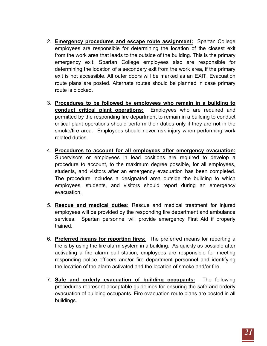- 2. **Emergency procedures and escape route assignment:** Spartan College employees are responsible for determining the location of the closest exit from the work area that leads to the outside of the building. This is the primary emergency exit. Spartan College employees also are responsible for determining the location of a secondary exit from the work area, if the primary exit is not accessible. All outer doors will be marked as an EXIT. Evacuation route plans are posted. Alternate routes should be planned in case primary route is blocked.
- 3. **Procedures to be followed by employees who remain in a building to conduct critical plant operations:** Employees who are required and permitted by the responding fire department to remain in a building to conduct critical plant operations should perform their duties only if they are not in the smoke/fire area. Employees should never risk injury when performing work related duties.
- 4. **Procedures to account for all employees after emergency evacuation:** Supervisors or employees in lead positions are required to develop a procedure to account, to the maximum degree possible, for all employees, students, and visitors after an emergency evacuation has been completed. The procedure includes a designated area outside the building to which employees, students, and visitors should report during an emergency evacuation.
- 5. **Rescue and medical duties:** Rescue and medical treatment for injured employees will be provided by the responding fire department and ambulance services. Spartan personnel will provide emergency First Aid if properly trained.
- 6. **Preferred means for reporting fires:** The preferred means for reporting a fire is by using the fire alarm system in a building. As quickly as possible after activating a fire alarm pull station, employees are responsible for meeting responding police officers and/or fire department personnel and identifying the location of the alarm activated and the location of smoke and/or fire.
- 7. **Safe and orderly evacuation of building occupants:** The following procedures represent acceptable guidelines for ensuring the safe and orderly evacuation of building occupants. Fire evacuation route plans are posted in all buildings.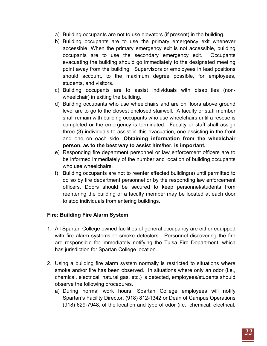- a) Building occupants are not to use elevators (if present) in the building.
- b) Building occupants are to use the primary emergency exit whenever accessible. When the primary emergency exit is not accessible, building occupants are to use the secondary emergency exit. Occupants evacuating the building should go immediately to the designated meeting point away from the building. Supervisors or employees in lead positions should account, to the maximum degree possible, for employees, students, and visitors.
- c) Building occupants are to assist individuals with disabilities (nonwheelchair) in exiting the building.
- d) Building occupants who use wheelchairs and are on floors above ground level are to go to the closest enclosed stairwell. A faculty or staff member shall remain with building occupants who use wheelchairs until a rescue is completed or the emergency is terminated. Faculty or staff shall assign three (3) individuals to assist in this evacuation, one assisting in the front and one on each side. **Obtaining information from the wheelchair person, as to the best way to assist him/her, is important.**
- e) Responding fire department personnel or law enforcement officers are to be informed immediately of the number and location of building occupants who use wheelchairs.
- f) Building occupants are not to reenter affected building(s) until permitted to do so by fire department personnel or by the responding law enforcement officers. Doors should be secured to keep personnel/students from reentering the building or a faculty member may be located at each door to stop individuals from entering buildings.

## **Fire: Building Fire Alarm System**

- 1. All Spartan College owned facilities of general occupancy are either equipped with fire alarm systems or smoke detectors. Personnel discovering the fire are responsible for immediately notifying the Tulsa Fire Department, which has jurisdiction for Spartan College location.
- 2. Using a building fire alarm system normally is restricted to situations where smoke and/or fire has been observed. In situations where only an odor (i.e., chemical, electrical, natural gas, etc.) is detected, employees/students should observe the following procedures.
	- a) During normal work hours, Spartan College employees will notify Spartan's Facility Director, (918) 812-1342 or Dean of Campus Operations (918) 629-7948, of the location and type of odor (i.e., chemical, electrical,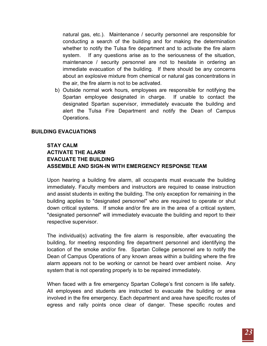natural gas, etc.). Maintenance / security personnel are responsible for conducting a search of the building and for making the determination whether to notify the Tulsa fire department and to activate the fire alarm system. If any questions arise as to the seriousness of the situation, maintenance / security personnel are not to hesitate in ordering an immediate evacuation of the building. If there should be any concerns about an explosive mixture from chemical or natural gas concentrations in the air, the fire alarm is not to be activated.

b) Outside normal work hours, employees are responsible for notifying the Spartan employee designated in charge. If unable to contact the designated Spartan supervisor, immediately evacuate the building and alert the Tulsa Fire Department and notify the Dean of Campus Operations.

#### **BUILDING EVACUATIONS**

## **STAY CALM ACTIVATE THE ALARM EVACUATE THE BUILDING ASSEMBLE AND SIGN-IN WITH EMERGENCY RESPONSE TEAM**

Upon hearing a building fire alarm, all occupants must evacuate the building immediately. Faculty members and instructors are required to cease instruction and assist students in exiting the building. The only exception for remaining in the building applies to "designated personnel" who are required to operate or shut down critical systems. If smoke and/or fire are in the area of a critical system, "designated personnel" will immediately evacuate the building and report to their respective supervisor.

The individual(s) activating the fire alarm is responsible, after evacuating the building, for meeting responding fire department personnel and identifying the location of the smoke and/or fire. Spartan College personnel are to notify the Dean of Campus Operations of any known areas within a building where the fire alarm appears not to be working or cannot be heard over ambient noise. Any system that is not operating properly is to be repaired immediately.

When faced with a fire emergency Spartan College's first concern is life safety. All employees and students are instructed to evacuate the building or area involved in the fire emergency. Each department and area have specific routes of egress and rally points once clear of danger. These specific routes and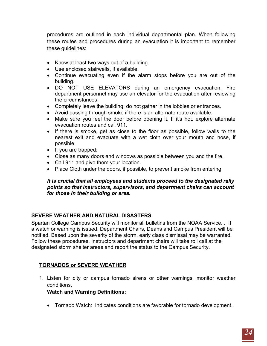procedures are outlined in each individual departmental plan. When following these routes and procedures during an evacuation it is important to remember these guidelines:

- Know at least two ways out of a building.
- Use enclosed stairwells, if available.
- Continue evacuating even if the alarm stops before you are out of the building.
- DO NOT USE ELEVATORS during an emergency evacuation. Fire department personnel may use an elevator for the evacuation after reviewing the circumstances.
- Completely leave the building; do not gather in the lobbies or entrances.
- Avoid passing through smoke if there is an alternate route available.
- Make sure you feel the door before opening it. If it's hot, explore alternate evacuation routes and call 911.
- If there is smoke, get as close to the floor as possible, follow walls to the nearest exit and evacuate with a wet cloth over your mouth and nose, if possible.
- If you are trapped:
- Close as many doors and windows as possible between you and the fire.
- Call 911 and give them your location.
- Place Cloth under the doors, if possible, to prevent smoke from entering

#### *It is crucial that all employees and students proceed to the designated rally points so that instructors, supervisors, and department chairs can account for those in their building or area.*

## <span id="page-23-0"></span>**SEVERE WEATHER AND NATURAL DISASTERS**

Spartan College Campus Security will monitor all bulletins from the NOAA Service. . If a watch or warning is issued, Department Chairs, Deans and Campus President will be notified. Based upon the severity of the storm, early class dismissal may be warranted. Follow these procedures. Instructors and department chairs will take roll call at the designated storm shelter areas and report the status to the Campus Security.

## **TORNADOS or SEVERE WEATHER**

1. Listen for city or campus tornado sirens or other warnings; monitor weather conditions.

#### **Watch and Warning Definitions:**

• Tornado Watch: Indicates conditions are favorable for tornado development.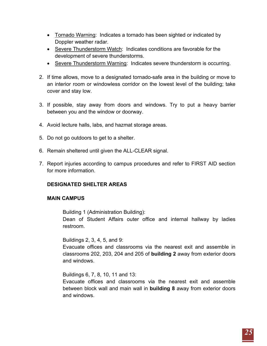- Tornado Warning: Indicates a tornado has been sighted or indicated by Doppler weather radar.
- Severe Thunderstorm Watch: Indicates conditions are favorable for the development of severe thunderstorms.
- Severe Thunderstorm Warning: Indicates severe thunderstorm is occurring.
- 2. If time allows, move to a designated tornado-safe area in the building or move to an interior room or windowless corridor on the lowest level of the building; take cover and stay low.
- 3. If possible, stay away from doors and windows. Try to put a heavy barrier between you and the window or doorway.
- 4. Avoid lecture halls, labs, and hazmat storage areas.
- 5. Do not go outdoors to get to a shelter.
- 6. Remain sheltered until given the ALL-CLEAR signal.
- 7. Report injuries according to campus procedures and refer to FIRST AID section for more information.

## **DESIGNATED SHELTER AREAS**

#### **MAIN CAMPUS**

Building 1 (Administration Building):

Dean of Student Affairs outer office and internal hallway by ladies restroom.

Buildings 2, 3, 4, 5, and 9:

Evacuate offices and classrooms via the nearest exit and assemble in classrooms 202, 203, 204 and 205 of **building 2** away from exterior doors and windows.

Buildings 6, 7, 8, 10, 11 and 13:

Evacuate offices and classrooms via the nearest exit and assemble between block wall and main wall in **building 8** away from exterior doors and windows.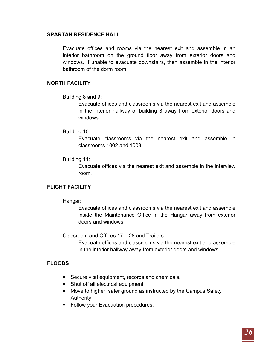#### **SPARTAN RESIDENCE HALL**

Evacuate offices and rooms via the nearest exit and assemble in an interior bathroom on the ground floor away from exterior doors and windows. If unable to evacuate downstairs, then assemble in the interior bathroom of the dorm room.

#### **NORTH FACILITY**

Building 8 and 9:

Evacuate offices and classrooms via the nearest exit and assemble in the interior hallway of building 8 away from exterior doors and windows.

#### Building 10:

Evacuate classrooms via the nearest exit and assemble in classrooms 1002 and 1003.

#### Building 11:

Evacuate offices via the nearest exit and assemble in the interview room.

#### **FLIGHT FACILITY**

#### Hangar:

Evacuate offices and classrooms via the nearest exit and assemble inside the Maintenance Office in the Hangar away from exterior doors and windows.

Classroom and Offices 17 – 28 and Trailers:

Evacuate offices and classrooms via the nearest exit and assemble in the interior hallway away from exterior doors and windows.

#### **FLOODS**

- Secure vital equipment, records and chemicals.
- Shut off all electrical equipment.
- **Move to higher, safer ground as instructed by the Campus Safety** Authority.
- **Follow your Evacuation procedures.**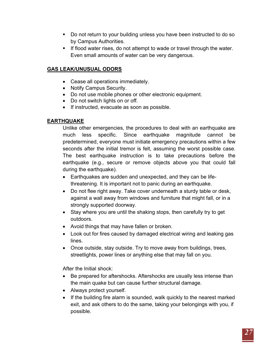- Do not return to your building unless you have been instructed to do so by Campus Authorities.
- If flood water rises, do not attempt to wade or travel through the water. Even small amounts of water can be very dangerous.

## **GAS LEAK/UNUSUAL ODORS**

- Cease all operations immediately.
- Notify Campus Security.
- Do not use mobile phones or other electronic equipment.
- Do not switch lights on or off.
- If instructed, evacuate as soon as possible.

## **EARTHQUAKE**

Unlike other emergencies, the procedures to deal with an earthquake are much less specific. Since earthquake magnitude cannot be predetermined, everyone must initiate emergency precautions within a few seconds after the initial tremor is felt, assuming the worst possible case. The best earthquake instruction is to take precautions before the earthquake (e.g., secure or remove objects above you that could fall during the earthquake).

- Earthquakes are sudden and unexpected, and they can be lifethreatening. It is important not to panic during an earthquake.
- Do not flee right away. Take cover underneath a sturdy table or desk, against a wall away from windows and furniture that might fall, or in a strongly supported doorway.
- Stay where you are until the shaking stops, then carefully try to get outdoors.
- Avoid things that may have fallen or broken.
- Look out for fires caused by damaged electrical wiring and leaking gas lines.
- Once outside, stay outside. Try to move away from buildings, trees, streetlights, power lines or anything else that may fall on you.

After the Initial shock:

- Be prepared for aftershocks. Aftershocks are usually less intense than the main quake but can cause further structural damage.
- Always protect yourself.
- If the building fire alarm is sounded, walk quickly to the nearest marked exit, and ask others to do the same, taking your belongings with you, if possible.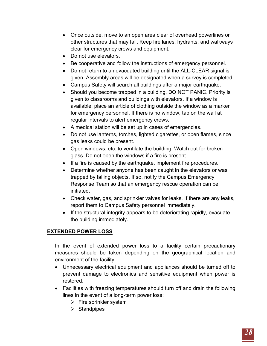- Once outside, move to an open area clear of overhead powerlines or other structures that may fall. Keep fire lanes, hydrants, and walkways clear for emergency crews and equipment.
- Do not use elevators.
- Be cooperative and follow the instructions of emergency personnel.
- Do not return to an evacuated building until the ALL-CLEAR signal is given. Assembly areas will be designated when a survey is completed.
- Campus Safety will search all buildings after a major earthquake.
- Should you become trapped in a building, DO NOT PANIC. Priority is given to classrooms and buildings with elevators. If a window is available, place an article of clothing outside the window as a marker for emergency personnel. If there is no window, tap on the wall at regular intervals to alert emergency crews.
- A medical station will be set up in cases of emergencies.
- Do not use lanterns, torches, lighted cigarettes, or open flames, since gas leaks could be present.
- Open windows, etc. to ventilate the building. Watch out for broken glass. Do not open the windows if a fire is present.
- If a fire is caused by the earthquake, implement fire procedures.
- Determine whether anyone has been caught in the elevators or was trapped by falling objects. If so, notify the Campus Emergency Response Team so that an emergency rescue operation can be initiated.
- Check water, gas, and sprinkler valves for leaks. If there are any leaks, report them to Campus Safety personnel immediately.
- If the structural integrity appears to be deteriorating rapidly, evacuate the building immediately.

## **EXTENDED POWER LOSS**

In the event of extended power loss to a facility certain precautionary measures should be taken depending on the geographical location and environment of the facility:

- Unnecessary electrical equipment and appliances should be turned off to prevent damage to electronics and sensitive equipment when power is restored.
- Facilities with freezing temperatures should turn off and drain the following lines in the event of a long-term power loss:
	- $\triangleright$  Fire sprinkler system
	- $\triangleright$  Standpipes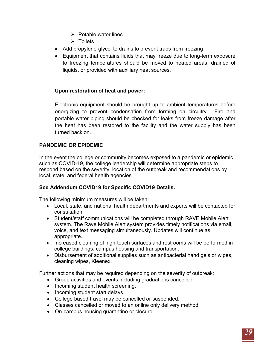- $\triangleright$  Potable water lines
- $\triangleright$  Toilets
- Add propylene-glycol to drains to prevent traps from freezing
- Equipment that contains fluids that may freeze due to long-term exposure to freezing temperatures should be moved to heated areas, drained of liquids, or provided with auxiliary heat sources.

## **Upon restoration of heat and power:**

Electronic equipment should be brought up to ambient temperatures before energizing to prevent condensation from forming on circuitry. Fire and portable water piping should be checked for leaks from freeze damage after the heat has been restored to the facility and the water supply has been turned back on.

## <span id="page-28-0"></span>**PANDEMIC OR EPIDEMIC**

In the event the college or community becomes exposed to a pandemic or epidemic such as COVID-19, the college leadership will determine appropriate steps to respond based on the severity, location of the outbreak and recommendations by local, state, and federal health agencies.

## **See Addendum COVID19 for Specific COVID19 Details.**

The following minimum measures will be taken:

- Local, state, and national health departments and experts will be contacted for consultation.
- Student/staff communications will be completed through RAVE Mobile Alert system. The Rave Mobile Alert system provides timely notifications via email, voice, and text messaging simultaneously. Updates will continue as appropriate.
- Increased cleaning of high-touch surfaces and restrooms will be performed in college buildings, campus housing and transportation.
- Disbursement of additional supplies such as antibacterial hand gels or wipes, cleaning wipes, Kleenex.

Further actions that may be required depending on the severity of outbreak:

- Group activities and events including graduations cancelled.
- Incoming student health screening.
- Incoming student start delays.
- College based travel may be cancelled or suspended.
- Classes cancelled or moved to an online only delivery method.
- On-campus housing quarantine or closure.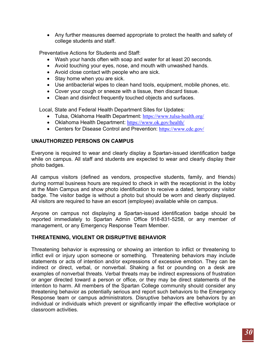• Any further measures deemed appropriate to protect the health and safety of college students and staff.

Preventative Actions for Students and Staff:

- Wash your hands often with soap and water for at least 20 seconds.
- Avoid touching your eyes, nose, and mouth with unwashed hands.
- Avoid close contact with people who are sick.
- Stay home when you are sick.
- Use antibacterial wipes to clean hand tools, equipment, mobile phones, etc.
- Cover your cough or sneeze with a tissue, then discard tissue.
- Clean and disinfect frequently touched objects and surfaces.

Local, State and Federal Health Department Sites for Updates:

- Tulsa, Oklahoma Health Department: <https://www.tulsa-health.org/>
- Oklahoma Health Department: <https://www.ok.gov/health/>
- Centers for Disease Control and Prevention: <https://www.cdc.gov/>

## <span id="page-29-0"></span>**UNAUTHORIZED PERSONS ON CAMPUS**

Everyone is required to wear and clearly display a Spartan-issued identification badge while on campus. All staff and students are expected to wear and clearly display their photo badges.

All campus visitors (defined as vendors, prospective students, family, and friends) during normal business hours are required to check in with the receptionist in the lobby at the Main Campus and show photo identification to receive a dated, temporary visitor badge. The visitor badge is without a photo but should be worn and clearly displayed. All visitors are required to have an escort (employee) available while on campus.

Anyone on campus not displaying a Spartan-issued identification badge should be reported immediately to Spartan Admin Office 918-831-5258, or any member of management, or any Emergency Response Team Member.

## <span id="page-29-1"></span>**THREATENING, VIOLENT OR DISRUPTIVE BEHAVIOR**

Threatening behavior is expressing or showing an intention to inflict or threatening to inflict evil or injury upon someone or something. Threatening behaviors may include statements or acts of intention and/or expressions of excessive emotion. They can be indirect or direct, verbal, or nonverbal. Shaking a fist or pounding on a desk are examples of nonverbal threats. Verbal threats may be indirect expressions of frustration or anger directed toward a person or office, or they may be direct statements of the intention to harm. All members of the Spartan College community should consider any threatening behavior as potentially serious and report such behaviors to the Emergency Response team or campus administrators. Disruptive behaviors are behaviors by an individual or individuals which prevent or significantly impair the effective workplace or classroom activities.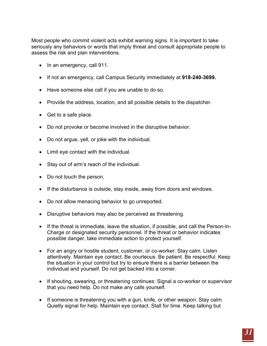Most people who commit violent acts exhibit warning signs. It is important to take seriously any behaviors or words that imply threat and consult appropriate people to assess the risk and plan interventions.

- In an emergency, call 911.
- If not an emergency, call Campus Security immediately at **918-240-3699.**
- Have someone else call if you are unable to do so.
- Provide the address, location, and all possible details to the dispatcher.
- Get to a safe place.
- Do not provoke or become involved in the disruptive behavior.
- Do not argue, yell, or joke with the individual.
- Limit eye contact with the individual.
- Stay out of arm's reach of the individual.
- Do not touch the person.
- If the disturbance is outside, stay inside, away from doors and windows.
- Do not allow menacing behavior to go unreported.
- Disruptive behaviors may also be perceived as threatening.
- If the threat is immediate, leave the situation, if possible, and call the Person-in-Charge or designated security personnel. If the threat or behavior indicates possible danger, take immediate action to protect yourself.
- For an angry or hostile student, customer, or co-worker: Stay calm. Listen attentively. Maintain eye contact. Be courteous. Be patient. Be respectful. Keep the situation in your control but try to ensure there is a barrier between the individual and yourself. Do not get backed into a corner.
- If shouting, swearing, or threatening continues: Signal a co-worker or supervisor that you need help. Do not make any calls yourself.
- If someone is threatening you with a gun, knife, or other weapon: Stay calm. Quietly signal for help. Maintain eye contact. Stall for time. Keep talking but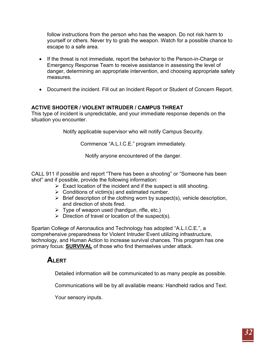follow instructions from the person who has the weapon. Do not risk harm to yourself or others. Never try to grab the weapon. Watch for a possible chance to escape to a safe area.

- If the threat is not immediate, report the behavior to the Person-in-Charge or Emergency Response Team to receive assistance in assessing the level of danger, determining an appropriate intervention, and choosing appropriate safety measures.
- Document the incident. Fill out an Incident Report or Student of Concern Report.

## <span id="page-31-0"></span>**ACTIVE SHOOTER / VIOLENT INTRUDER / CAMPUS THREAT**

This type of incident is unpredictable, and your immediate response depends on the situation you encounter.

Notify applicable supervisor who will notify Campus Security.

Commence "A.L.I.C.E." program immediately.

Notify anyone encountered of the danger.

CALL 911 if possible and report "There has been a shooting" or "Someone has been shot" and if possible, provide the following information:

- $\triangleright$  Exact location of the incident and if the suspect is still shooting.
	- $\triangleright$  Conditions of victim(s) and estimated number.
	- $\triangleright$  Brief description of the clothing worn by suspect(s), vehicle description, and direction of shots fired.
	- $\triangleright$  Type of weapon used (handgun, rifle, etc.)
	- $\triangleright$  Direction of travel or location of the suspect(s).

Spartan College of Aeronautics and Technology has adopted "A.L.I.C.E.", a comprehensive preparedness for Violent Intruder Event utilizing infrastructure, technology, and Human Action to increase survival chances. This program has one primary focus: **SURVIVAL** of those who find themselves under attack.

# **ALERT**

Detailed information will be communicated to as many people as possible.

Communications will be by all available means: Handheld radios and Text.

Your sensory inputs.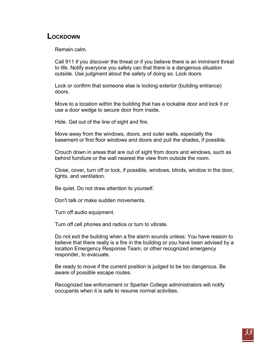# **LOCKDOWN**

Remain calm.

Call 911 if you discover the threat or if you believe there is an imminent threat to life. Notify everyone you safely can that there is a dangerous situation outside. Use judgment about the safety of doing so. Lock doors.

Lock or confirm that someone else is locking exterior (building entrance) doors.

Move to a location within the building that has a lockable door and lock it or use a door wedge to secure door from inside.

Hide. Get out of the line of sight and fire.

Move away from the windows, doors, and outer walls, especially the basement or first floor windows and doors and pull the shades, if possible.

Crouch down in areas that are out of sight from doors and windows, such as behind furniture or the wall nearest the view from outside the room.

Close, cover, turn off or lock, if possible, windows, blinds, window in the door, lights, and ventilation.

Be quiet. Do not draw attention to yourself.

Don't talk or make sudden movements.

Turn off audio equipment.

Turn off cell phones and radios or turn to vibrate.

Do not exit the building when a fire alarm sounds unless: You have reason to believe that there really is a fire in the building or you have been advised by a location Emergency Response Team, or other recognized emergency responder, to evacuate.

Be ready to move if the current position is judged to be too dangerous. Be aware of possible escape routes.

Recognized law enforcement or Spartan College administrators will notify occupants when it is safe to resume normal activities.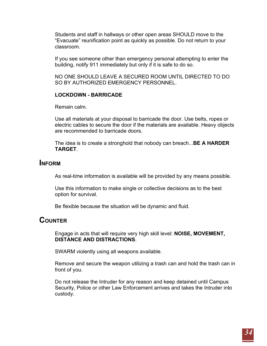Students and staff in hallways or other open areas SHOULD move to the "Evacuate" reunification point as quickly as possible. Do not return to your classroom.

If you see someone other than emergency personal attempting to enter the building, notify 911 immediately but only if it is safe to do so.

NO ONE SHOULD LEAVE A SECURED ROOM UNTIL DIRECTED TO DO SO BY AUTHORIZED EMERGENCY PERSONNEL.

#### **LOCKDOWN - BARRICADE**

Remain calm.

Use all materials at your disposal to barricade the door. Use belts, ropes or electric cables to secure the door if the materials are available. Heavy objects are recommended to barricade doors.

The idea is to create a stronghold that nobody can breach...**BE A HARDER TARGET**.

## **INFORM**

As real-time information is available will be provided by any means possible.

Use this information to make single or collective decisions as to the best option for survival.

Be flexible because the situation will be dynamic and fluid.

# **COUNTER**

Engage in acts that will require very high skill level: **NOISE, MOVEMENT, DISTANCE AND DISTRACTIONS**.

SWARM violently using all weapons available.

Remove and secure the weapon utilizing a trash can and hold the trash can in front of you.

Do not release the Intruder for any reason and keep detained until Campus Security, Police or other Law Enforcement arrives and takes the Intruder into custody.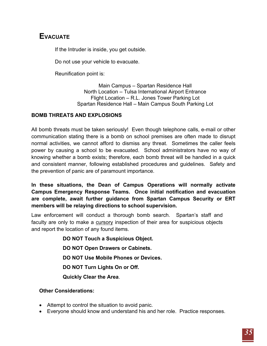# **EVACUATE**

If the Intruder is inside, you get outside.

Do not use your vehicle to evacuate.

Reunification point is:

Main Campus – Spartan Residence Hall North Location – Tulsa International Airport Entrance Flight Location – R.L. Jones Tower Parking Lot Spartan Residence Hall – Main Campus South Parking Lot

## <span id="page-34-0"></span>**BOMB THREATS AND EXPLOSIONS**

All bomb threats must be taken seriously! Even though telephone calls, e-mail or other communication stating there is a bomb on school premises are often made to disrupt normal activities, we cannot afford to dismiss any threat. Sometimes the caller feels power by causing a school to be evacuated. School administrators have no way of knowing whether a bomb exists; therefore, each bomb threat will be handled in a quick and consistent manner, following established procedures and guidelines. Safety and the prevention of panic are of paramount importance.

**In these situations, the Dean of Campus Operations will normally activate Campus Emergency Response Teams. Once initial notification and evacuation are complete, await further guidance from Spartan Campus Security or ERT members will be relaying directions to school supervision.**

Law enforcement will conduct a thorough bomb search. Spartan's staff and faculty are only to make a cursory inspection of their area for suspicious objects and report the location of any found items.

> **DO NOT Touch a Suspicious Object. DO NOT Open Drawers or Cabinets. DO NOT Use Mobile Phones or Devices. DO NOT Turn Lights On or Off. Quickly Clear the Area**.

## **Other Considerations:**

- Attempt to control the situation to avoid panic.
- Everyone should know and understand his and her role. Practice responses.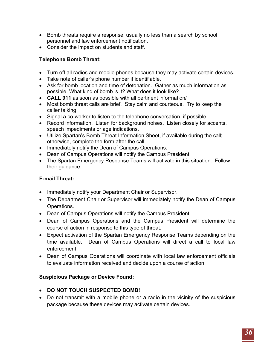- Bomb threats require a response, usually no less than a search by school personnel and law enforcement notification.
- Consider the impact on students and staff.

## **Telephone Bomb Threat:**

- Turn off all radios and mobile phones because they may activate certain devices.
- Take note of caller's phone number if identifiable.
- Ask for bomb location and time of detonation. Gather as much information as possible. What kind of bomb is it? What does it look like?
- **CALL 911** as soon as possible with all pertinent information/
- Most bomb threat calls are brief. Stay calm and courteous. Try to keep the caller talking.
- Signal a co-worker to listen to the telephone conversation, if possible.
- Record information. Listen for background noises. Listen closely for accents, speech impediments or age indications.
- Utilize Spartan's Bomb Threat Information Sheet, if available during the call; otherwise, complete the form after the call.
- Immediately notify the Dean of Campus Operations.
- Dean of Campus Operations will notify the Campus President.
- The Spartan Emergency Response Teams will activate in this situation. Follow their guidance.

# **E-mail Threat:**

- Immediately notify your Department Chair or Supervisor.
- The Department Chair or Supervisor will immediately notify the Dean of Campus Operations.
- Dean of Campus Operations will notify the Campus President.
- Dean of Campus Operations and the Campus President will determine the course of action in response to this type of threat.
- Expect activation of the Spartan Emergency Response Teams depending on the time available. Dean of Campus Operations will direct a call to local law enforcement.
- Dean of Campus Operations will coordinate with local law enforcement officials to evaluate information received and decide upon a course of action.

## **Suspicious Package or Device Found:**

- **DO NOT TOUCH SUSPECTED BOMB!**
- Do not transmit with a mobile phone or a radio in the vicinity of the suspicious package because these devices may activate certain devices.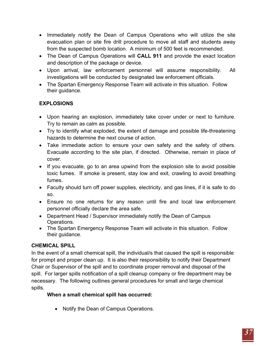- Immediately notify the Dean of Campus Operations who will utilize the site evacuation plan or site fire drill procedure to move all staff and students away from the suspected bomb location. A minimum of 500 feet is recommended.
- The Dean of Campus Operations will **CALL 911** and provide the exact location and description of the package or device.
- Upon arrival, law enforcement personnel will assume responsibility. All investigations will be conducted by designated law enforcement officials.
- The Spartan Emergency Response Team will activate in this situation. Follow their guidance.

# **EXPLOSIONS**

- Upon hearing an explosion, immediately take cover under or next to furniture. Try to remain as calm as possible.
- Try to identify what exploded, the extent of damage and possible life-threatening hazards to determine the next course of action.
- Take immediate action to ensure your own safety and the safety of others. Evacuate according to the site plan, if directed. Otherwise, remain in place of cover.
- If you evacuate, go to an area upwind from the explosion site to avoid possible toxic fumes. If smoke is present, stay low and exit, crawling to avoid breathing fumes.
- Faculty should turn off power supplies, electricity, and gas lines, if it is safe to do so.
- Ensure no one returns for any reason until fire and local law enforcement personnel officially declare the area safe.
- Department Head / Supervisor immediately notify the Dean of Campus Operations.
- The Spartan Emergency Response Team will activate in this situation. Follow their guidance.

## <span id="page-36-0"></span>**CHEMICAL SPILL**

In the event of a small chemical spill, the individual/s that caused the spill is responsible for prompt and proper clean up. It is also their responsibility to notify their Department Chair or Supervisor of the spill and to coordinate proper removal and disposal of the spill. For larger spills notification of a spill cleanup company or fire department may be necessary. The following outlines general procedures for small and large chemical spills.

## **When a small chemical spill has occurred:**

• Notify the Dean of Campus Operations.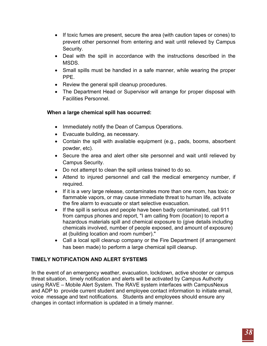- If toxic fumes are present, secure the area (with caution tapes or cones) to prevent other personnel from entering and wait until relieved by Campus Security.
- Deal with the spill in accordance with the instructions described in the MSDS.
- Small spills must be handled in a safe manner, while wearing the proper PPE.
- Review the general spill cleanup procedures.
- The Department Head or Supervisor will arrange for proper disposal with Facilities Personnel.

## **When a large chemical spill has occurred:**

- Immediately notify the Dean of Campus Operations.
- Evacuate building, as necessary.
- Contain the spill with available equipment (e.g., pads, booms, absorbent powder, etc).
- Secure the area and alert other site personnel and wait until relieved by Campus Security.
- Do not attempt to clean the spill unless trained to do so.
- Attend to injured personnel and call the medical emergency number, if required.
- If it is a very large release, contaminates more than one room, has toxic or flammable vapors, or may cause immediate threat to human life, activate the fire alarm to evacuate or start selective evacuation.
- If the spill is serious and people have been badly contaminated, call 911 from campus phones and report, "I am calling from (location) to report a hazardous materials spill and chemical exposure to (give details including chemicals involved, number of people exposed, and amount of exposure) at (building location and room number)."
- Call a local spill cleanup company or the Fire Department (if arrangement has been made) to perform a large chemical spill cleanup.

## <span id="page-37-0"></span>**TIMELY NOTIFICATION AND ALERT SYSTEMS**

In the event of an emergency weather, evacuation, lockdown, active shooter or campus threat situation, timely notification and alerts will be activated by Campus Authority using RAVE – Mobile Alert System. The RAVE system interfaces with CampusNexus and ADP to provide current student and employee contact information to initiate email, voice message and text notifications. Students and employees should ensure any changes in contact information is updated in a timely manner.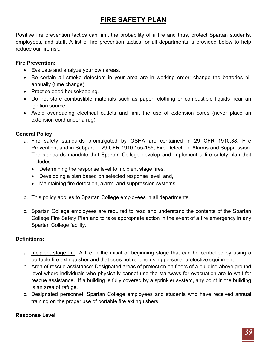# **FIRE SAFETY PLAN**

<span id="page-38-0"></span>Positive fire prevention tactics can limit the probability of a fire and thus, protect Spartan students, employees, and staff. A list of fire prevention tactics for all departments is provided below to help reduce our fire risk.

## **Fire Prevention:**

- Evaluate and analyze your own areas.
- Be certain all smoke detectors in your area are in working order; change the batteries biannually (time change).
- Practice good housekeeping.
- Do not store combustible materials such as paper, clothing or combustible liquids near an ignition source.
- Avoid overloading electrical outlets and limit the use of extension cords (never place an extension cord under a rug).

## **General Policy**

- a. Fire safety standards promulgated by OSHA are contained in 29 CFR 1910.38, Fire Prevention, and in Subpart L, 29 CFR 1910.155-165, Fire Detection, Alarms and Suppression. The standards mandate that Spartan College develop and implement a fire safety plan that includes:
	- Determining the response level to incipient stage fires.
	- Developing a plan based on selected response level; and,
	- Maintaining fire detection, alarm, and suppression systems.
- b. This policy applies to Spartan College employees in all departments.
- c. Spartan College employees are required to read and understand the contents of the Spartan College Fire Safety Plan and to take appropriate action in the event of a fire emergency in any Spartan College facility.

## **Definitions:**

- a. Incipient stage fire: A fire in the initial or beginning stage that can be controlled by using a portable fire extinguisher and that does not require using personal protective equipment.
- b. Area of rescue assistance: Designated areas of protection on floors of a building above ground level where individuals who physically cannot use the stairways for evacuation are to wait for rescue assistance. If a building is fully covered by a sprinkler system, any point in the building is an area of refuge.
- c. Designated personnel: Spartan College employees and students who have received annual training on the proper use of portable fire extinguishers.

## **Response Level**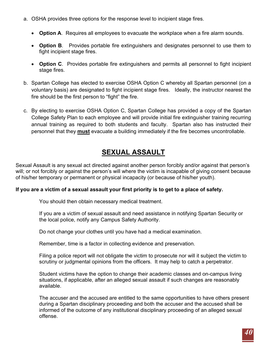- a. OSHA provides three options for the response level to incipient stage fires.
	- **Option A**. Requires all employees to evacuate the workplace when a fire alarm sounds.
	- **Option B**. Provides portable fire extinguishers and designates personnel to use them to fight incipient stage fires.
	- **Option C**. Provides portable fire extinguishers and permits all personnel to fight incipient stage fires.
- b. Spartan College has elected to exercise OSHA Option C whereby all Spartan personnel (on a voluntary basis) are designated to fight incipient stage fires. Ideally, the instructor nearest the fire should be the first person to "fight" the fire.
- c. By electing to exercise OSHA Option C, Spartan College has provided a copy of the Spartan College Safety Plan to each employee and will provide initial fire extinguisher training recurring annual training as required to both students and faculty. Spartan also has instructed their personnel that they **must** evacuate a building immediately if the fire becomes uncontrollable.

# **SEXUAL ASSAULT**

<span id="page-39-0"></span>Sexual Assault is any sexual act directed against another person forcibly and/or against that person's will; or not forcibly or against the person's will where the victim is incapable of giving consent because of his/her temporary or permanent or physical incapacity (or because of his/her youth).

#### **If you are a victim of a sexual assault your first priority is to get to a place of safety.**

You should then obtain necessary medical treatment.

If you are a victim of sexual assault and need assistance in notifying Spartan Security or the local police, notify any Campus Safety Authority.

Do not change your clothes until you have had a medical examination.

Remember, time is a factor in collecting evidence and preservation.

Filing a police report will not obligate the victim to prosecute nor will it subject the victim to scrutiny or judgmental opinions from the officers. It may help to catch a perpetrator.

Student victims have the option to change their academic classes and on-campus living situations, if applicable, after an alleged sexual assault if such changes are reasonably available.

The accuser and the accused are entitled to the same opportunities to have others present during a Spartan disciplinary proceeding and both the accuser and the accused shall be informed of the outcome of any institutional disciplinary proceeding of an alleged sexual offense.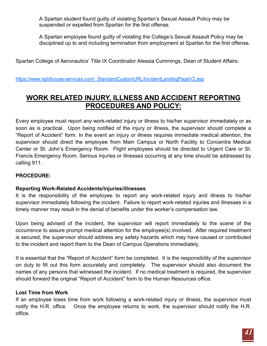A Spartan student found guilty of violating Spartan's Sexual Assault Policy may be suspended or expelled from Spartan for the first offense.

A Spartan employee found guilty of violating the College's Sexual Assault Policy may be disciplined up to and including termination from employment at Spartan for the first offense.

Spartan College of Aeronautics' Title IX Coordinator Alessia Cummings, Dean of Student Affairs.

https://www.lighthouse-services.com/\_StandardCustomURL/IncidentLandingPageV2.asp

# <span id="page-40-0"></span>**WORK RELATED INJURY, ILLNESS AND ACCIDENT REPORTING PROCEDURES AND POLICY:**

Every employee must report any work-related injury or illness to his/her supervisor immediately or as soon as is practical. Upon being notified of the injury or illness, the supervisor should complete a "Report of Accident" form. In the event an injury or illness requires immediate medical attention, the supervisor should direct the employee from Main Campus or North Facility to Concentra Medical Center or St. John's Emergency Room. Flight employees should be directed to Urgent Care or St. Francis Emergency Room. Serious injuries or illnesses occurring at any time should be addressed by calling 911.

#### **PROCEDURE:**

## **Reporting Work-Related Accidents/injuries/illnesses**

It is the responsibility of the employee to report any work-related injury and illness to his/her supervisor immediately following the incident. Failure to report work-related injuries and illnesses in a timely manner may result in the denial of benefits under the worker's compensation law.

Upon being advised of the incident, the supervisor will report immediately to the scene of the occurrence to assure prompt medical attention for the employee(s) involved. After required treatment is secured, the supervisor should address any safety hazards which may have caused or contributed to the incident and report them to the Dean of Campus Operations immediately.

It is essential that the "Report of Accident" form be completed. It is the responsibility of the supervisor on duty to fill out this form accurately and completely. The supervisor should also document the names of any persons that witnessed the incident. If no medical treatment is required, the supervisor should forward the original "Report of Accident" form to the Human Resources office.

#### **Lost Time from Work**

If an employee loses time from work following a work-related injury or illness, the supervisor must notify the H.R. office. Once the employee returns to work, the supervisor should notify the H.R. office.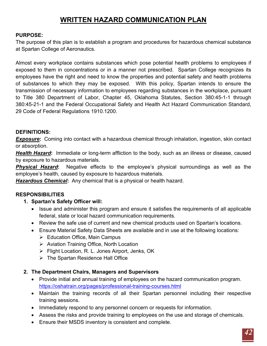# **WRITTEN HAZARD COMMUNICATION PLAN**

#### <span id="page-41-0"></span>**PURPOSE:**

The purpose of this plan is to establish a program and procedures for hazardous chemical substance at Spartan College of Aeronautics.

Almost every workplace contains substances which pose potential health problems to employees if exposed to them in concentrations or in a manner not prescribed. Spartan College recognizes its employees have the right and need to know the properties and potential safety and health problems of substances to which they may be exposed. With this policy, Spartan intends to ensure the transmission of necessary information to employees regarding substances in the workplace, pursuant to Title 380 Department of Labor, Chapter 45, Oklahoma Statutes, Section 380:45-1-1 through 380:45-21-1 and the Federal Occupational Safety and Health Act Hazard Communication Standard, 29 Code of Federal Regulations 1910.1200.

#### **DEFINITIONS:**

**Exposure:** Coming into contact with a hazardous chemical through inhalation, ingestion, skin contact or absorption.

*Health Hazard***:** Immediate or long-term affliction to the body, such as an illness or disease, caused by exposure to hazardous materials.

*Physical Hazard***:** Negative effects to the employee's physical surroundings as well as the employee's health, caused by exposure to hazardous materials.

*Hazardous Chemical***:** Any chemical that is a physical or health hazard.

## **RESPONSIBILITIES**

- **1. Spartan's Safety Officer will:**
	- Issue and administer this program and ensure it satisfies the requirements of all applicable federal, state or local hazard communication requirements.
	- Review the safe use of current and new chemical products used on Spartan's locations.
	- Ensure Material Safety Data Sheets are available and in use at the following locations:
		- $\triangleright$  Education Office, Main Campus
		- $\triangleright$  Aviation Training Office, North Location
		- Flight Location, R. L. Jones Airport, Jenks, OK
		- $\triangleright$  The Spartan Residence Hall Office

#### **2. The Department Chairs, Managers and Supervisors**

- Provide initial and annual training of employees on the hazard communication program. https://oshatrain.org/pages/professional-training-courses.html
- Maintain the training records of all their Spartan personnel including their respective training sessions.
- Immediately respond to any personnel concern or requests for information.
- Assess the risks and provide training to employees on the use and storage of chemicals.
- Ensure their MSDS inventory is consistent and complete.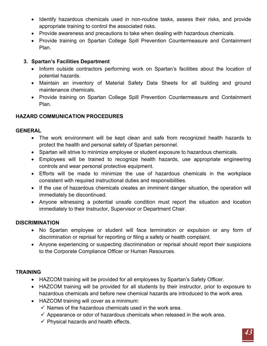- Identify hazardous chemicals used in non-routine tasks, assess their risks, and provide appropriate training to control the associated risks.
- Provide awareness and precautions to take when dealing with hazardous chemicals.
- Provide training on Spartan College Spill Prevention Countermeasure and Containment Plan.

## **3. Spartan's Facilities Department**

- Inform outside contractors performing work on Spartan's facilities about the location of potential hazards.
- Maintain an inventory of Material Safety Data Sheets for all building and ground maintenance chemicals.
- Provide training on Spartan College Spill Prevention Countermeasure and Containment Plan.

## **HAZARD COMMUNICATION PROCEDURES**

## **GENERAL**

- The work environment will be kept clean and safe from recognized health hazards to protect the health and personal safety of Spartan personnel.
- Spartan will strive to minimize employee or student exposure to hazardous chemicals.
- Employees will be trained to recognize health hazards, use appropriate engineering controls and wear personal protective equipment.
- Efforts will be made to minimize the use of hazardous chemicals in the workplace consistent with required instructional duties and responsibilities.
- If the use of hazardous chemicals creates an imminent danger situation, the operation will immediately be discontinued.
- Anyone witnessing a potential unsafe condition must report the situation and location immediately to their Instructor, Supervisor or Department Chair.

## **DISCRIMINATION**

- No Spartan employee or student will face termination or expulsion or any form of discrimination or reprisal for reporting or filing a safety or health complaint.
- Anyone experiencing or suspecting discrimination or reprisal should report their suspicions to the Corporate Compliance Officer or Human Resources.

## **TRAINING**

- HAZCOM training will be provided for all employees by Spartan's Safety Officer.
- HAZCOM training will be provided for all students by their instructor, prior to exposure to hazardous chemicals and before new chemical hazards are introduced to the work area.
- HAZCOM training will cover as a minimum:
	- $\checkmark$  Names of the hazardous chemicals used in the work area.
	- $\checkmark$  Appearance or odor of hazardous chemicals when released in the work area.
	- $\checkmark$  Physical hazards and health effects.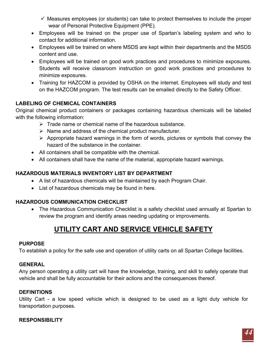$\checkmark$  Measures employees (or students) can take to protect themselves to include the proper wear of Personal Protective Equipment (PPE).

- Employees will be trained on the proper use of Spartan's labeling system and who to contact for additional information.
- Employees will be trained on where MSDS are kept within their departments and the MSDS content and use.
- Employees will be trained on good work practices and procedures to minimize exposures. Students will receive classroom instruction on good work practices and procedures to minimize exposures.
- Training for HAZCOM is provided by OSHA on the internet. Employees will study and test on the HAZCOM program. The test results can be emailed directly to the Safety Officer.

## **LABELING OF CHEMICAL CONTAINERS**

Original chemical product containers or packages containing hazardous chemicals will be labeled with the following information:

- $\triangleright$  Trade name or chemical name of the hazardous substance.
- $\triangleright$  Name and address of the chemical product manufacturer.
- $\triangleright$  Appropriate hazard warnings in the form of words, pictures or symbols that convey the hazard of the substance in the container.
- All containers shall be compatible with the chemical.
- All containers shall have the name of the material, appropriate hazard warnings.

## **HAZARDOUS MATERIALS INVENTORY LIST BY DEPARTMENT**

- A list of hazardous chemicals will be maintained by each Program Chair.
- List of hazardous chemicals may be found in here.

## <span id="page-43-0"></span>**HAZARDOUS COMMUNICATION CHECKLIST**

• The Hazardous Communication Checklist is a safety checklist used annually at Spartan to review the program and identify areas needing updating or improvements.

# **UTILITY CART AND SERVICE VEHICLE SAFETY**

## **PURPOSE**

To establish a policy for the safe use and operation of utility carts on all Spartan College facilities.

## **GENERAL**

Any person operating a utility cart will have the knowledge, training, and skill to safely operate that vehicle and shall be fully accountable for their actions and the consequences thereof.

#### **DEFINITIONS**

Utility Cart - a low speed vehicle which is designed to be used as a light duty vehicle for transportation purposes.

## **RESPONSIBILITY**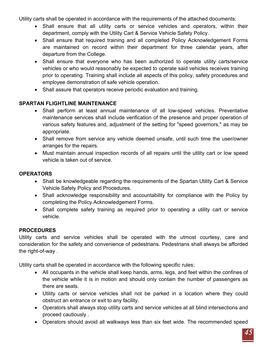Utility carts shall be operated in accordance with the requirements of the attached documents:

- Shall ensure that all utility carts or service vehicles and operators, within their department, comply with the Utility Cart & Service Vehicle Safety Policy.
- Shall ensure that required training and all completed [Policy Acknowledgement Forms](https://ww2-test.rmu.edu/OnTheMove/findoutmore.open_page?iCalledBy=findoutmore&iPage=67661&ivisitor=0) are maintained on record within their department for three calendar years, after departure from the College.
- Shall ensure that everyone who has been authorized to operate utility carts/service vehicles or who would reasonably be expected to operate said vehicles receives training prior to operating. Training shall include all aspects of this policy, safety procedures and employee demonstration of safe vehicle operation.
- Shall assure that operators receive periodic evaluation and training.

# **SPARTAN FLIGHTLINE MAINTENANCE**

- Shall perform at least annual maintenance of all low-speed vehicles. Preventative maintenance services shall include verification of the presence and proper operation of various safety features and, adjustment of the setting for "speed governors," as may be appropriate.
- Shall remove from service any vehicle deemed unsafe, until such time the user/owner arranges for the repairs.
- Must maintain annual inspection records of all repairs until the utility cart or low speed vehicle is taken out of service.

# **OPERATORS**

- Shall be knowledgeable regarding the requirements of the Spartan Utility Cart & Service Vehicle Safety Policy and Procedures.
- Shall acknowledge responsibility and accountability for compliance with the Policy by completing the [Policy Acknowledgement Forms.](https://ww2-test.rmu.edu/OnTheMove/findoutmore.open_page?iCalledBy=findoutmore&iPage=67661&ivisitor=0)
- Shall complete safety training as required prior to operating a utility cart or service vehicle.

## **PROCEDURES**

Utility carts and service vehicles shall be operated with the utmost courtesy, care and consideration for the safety and convenience of pedestrians. Pedestrians shall always be afforded the right-of-way .

Utility carts shall be operated in accordance with the following specific rules:

- All occupants in the vehicle shall keep hands, arms, legs, and feet within the confines of the vehicle while it is in motion and should only contain the number of passengers as there are seats.
- Utility carts or service vehicles shall not be parked in a location where they could obstruct an entrance or exit to any facility.
- Operators shall always stop utility carts and service vehicles at all blind intersections and proceed cautiously .
- Operators should avoid all walkways less than six feet wide. The recommended speed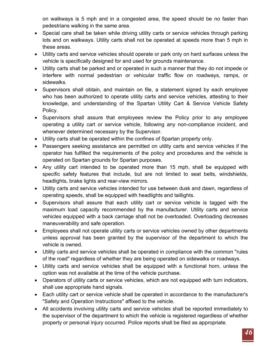on walkways is 5 mph and in a congested area, the speed should be no faster than pedestrians walking in the same area.

- Special care shall be taken while driving utility carts or service vehicles through parking lots and on walkways. Utility carts shall not be operated at speeds more than 5 mph in these areas.
- Utility carts and service vehicles should operate or park only on hard surfaces unless the vehicle is specifically designed for and used for grounds maintenance.
- Utility carts shall be parked and or operated in such a manner that they do not impede or interfere with normal pedestrian or vehicular traffic flow on roadways, ramps, or sidewalks.
- Supervisors shall obtain, and maintain on file, a statement signed by each employee who has been authorized to operate utility carts and service vehicles, attesting to their knowledge, and understanding of the Spartan Utility Cart & Service Vehicle Safety Policy.
- Supervisors shall assure that employees review the Policy prior to any employee operating a utility cart or service vehicle, following any non-compliance incident, and whenever determined necessary by the Supervisor.
- Utility carts shall be operated within the confines of Spartan property only.
- Passengers seeking assistance are permitted on utility carts and service vehicles if the operator has fulfilled the requirements of the policy and procedures and the vehicle is operated on Spartan grounds for Spartan purposes.
- Any utility cart intended to be operated more than 15 mph, shall be equipped with specific safety features that include, but are not limited to seat belts, windshields, headlights, brake lights and rear-view mirrors.
- Utility carts and service vehicles intended for use between dusk and dawn, regardless of operating speeds, shall be equipped with headlights and taillights.
- Supervisors shall assure that each utility cart or service vehicle is tagged with the maximum load capacity recommended by the manufacturer. Utility carts and service vehicles equipped with a back carriage shall not be overloaded. Overloading decreases maneuverability and safe operation.
- Employees shall not operate utility carts or service vehicles owned by other departments unless approval has been granted by the supervisor of the department to which the vehicle is owned.
- Utility carts and service vehicles shall be operated in compliance with the common "rules of the road" regardless of whether they are being operated on sidewalks or roadways.
- Utility carts and service vehicles shall be equipped with a functional horn, unless the option was not available at the time of the vehicle purchase.
- Operators of utility carts or service vehicles, which are not equipped with turn indicators, shall use appropriate hand signals.
- Each utility cart or service vehicle shall be operated in accordance to the manufacturer's "Safety and Operation Instructions" affixed to the vehicle.
- All accidents involving utility carts and service vehicles shall be reported immediately to the supervisor of the department to which the vehicle is registered regardless of whether property or personal injury occurred. Police reports shall be filed as appropriate.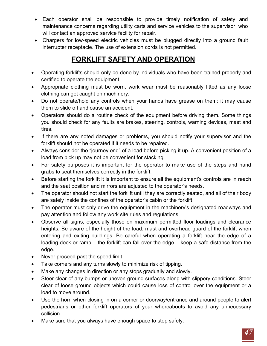- Each operator shall be responsible to provide timely notification of safety and maintenance concerns regarding utility carts and service vehicles to the supervisor, who will contact an approved service facility for repair.
- Chargers for low-speed electric vehicles must be plugged directly into a ground fault interrupter receptacle. The use of extension cords is not permitted.

# **FORKLIFT SAFETY AND OPERATION**

- <span id="page-46-0"></span>• Operating forklifts should only be done by individuals who have been trained properly and certified to operate the equipment.
- Appropriate clothing must be worn, work wear must be reasonably fitted as any loose clothing can get caught on machinery.
- Do not operate/hold any controls when your hands have grease on them; it may cause them to slide off and cause an accident.
- Operators should do a routine check of the equipment before driving them. Some things you should check for any faults are brakes, steering, controls, warning devices, mast and tires.
- If there are any noted damages or problems, you should notify your supervisor and the forklift should not be operated if it needs to be repaired.
- Always consider the "journey end" of a load before picking it up. A convenient position of a load from pick up may not be convenient for stacking.
- For safety purposes it is important for the operator to make use of the steps and hand grabs to seat themselves correctly in the forklift.
- Before starting the forklift it is important to ensure all the equipment's controls are in reach and the seat position and mirrors are adjusted to the operator's needs.
- The operator should not start the forklift until they are correctly seated, and all of their body are safely inside the confines of the operator's cabin or the forklift.
- The operator must only drive the equipment in the machinery's designated roadways and pay attention and follow any work site rules and regulations.
- Observe all signs, especially those on maximum permitted floor loadings and clearance heights. Be aware of the height of the load, mast and overhead guard of the forklift when entering and exiting buildings. Be careful when operating a forklift near the edge of a loading dock or ramp – the forklift can fall over the edge – keep a safe distance from the edge.
- Never proceed past the speed limit.
- Take corners and any turns slowly to minimize risk of tipping.
- Make any changes in direction or any stops gradually and slowly.
- Steer clear of any bumps or uneven ground surfaces along with slippery conditions. Steer clear of loose ground objects which could cause loss of control over the equipment or a load to move around.
- Use the horn when closing in on a corner or doorway/entrance and around people to alert pedestrians or other forklift operators of your whereabouts to avoid any unnecessary collision.
- Make sure that you always have enough space to stop safely.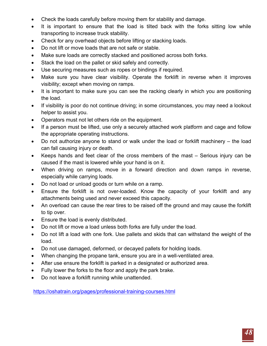- Check the loads carefully before moving them for stability and damage.
- It is important to ensure that the load is tilted back with the forks sitting low while transporting to increase truck stability.
- Check for any overhead objects before lifting or stacking loads.
- Do not lift or move loads that are not safe or stable.
- Make sure loads are correctly stacked and positioned across both forks.
- Stack the load on the pallet or skid safely and correctly.
- Use securing measures such as ropes or bindings if required.
- Make sure you have clear visibility. Operate the forklift in reverse when it improves visibility; except when moving on ramps.
- It is important to make sure you can see the racking clearly in which you are positioning the load.
- If visibility is poor do not continue driving; in some circumstances, you may need a lookout helper to assist you.
- Operators must not let others ride on the equipment.
- If a person must be lifted, use only a securely attached work platform and cage and follow the appropriate operating instructions.
- Do not authorize anyone to stand or walk under the load or forklift machinery the load can fall causing injury or death.
- Keeps hands and feet clear of the cross members of the mast Serious injury can be caused if the mast is lowered while your hand is on it.
- When driving on ramps, move in a forward direction and down ramps in reverse, especially while carrying loads.
- Do not load or unload goods or turn while on a ramp.
- Ensure the forklift is not over-loaded. Know the capacity of your forklift and any attachments being used and never exceed this capacity.
- An overload can cause the rear tires to be raised off the ground and may cause the forklift to tip over.
- Ensure the load is evenly distributed.
- Do not lift or move a load unless both forks are fully under the load.
- Do not lift a load with one fork. Use pallets and skids that can withstand the weight of the load.
- Do not use damaged, deformed, or decayed pallets for holding loads.
- When changing the propane tank, ensure you are in a well-ventilated area.
- After use ensure the forklift is parked in a designated or authorized area.
- Fully lower the forks to the floor and apply the park brake.
- Do not leave a forklift running while unattended.

https://oshatrain.org/pages/professional-training-courses.html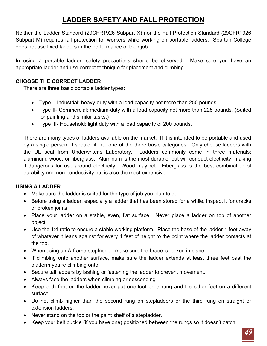# **LADDER SAFETY AND FALL PROTECTION**

<span id="page-48-0"></span>Neither the Ladder Standard (29CFR1926 Subpart X) nor the Fall Protection Standard (29CFR1926 Subpart M) requires fall protection for workers while working on portable ladders. Spartan College does not use fixed ladders in the performance of their job.

In using a portable ladder, safety precautions should be observed. Make sure you have an appropriate ladder and use correct technique for placement and climbing.

## **CHOOSE THE CORRECT LADDER**

There are three basic portable ladder types:

- Type I- Industrial: heavy-duty with a load capacity not more than 250 pounds.
- Type II- Commercial: medium-duty with a load capacity not more than 225 pounds. (Suited for painting and similar tasks.)
- Type III- Household: light duty with a load capacity of 200 pounds.

There are many types of ladders available on the market. If it is intended to be portable and used by a single person, it should fit into one of the three basic categories. Only choose ladders with the UL seal from Underwriter's Laboratory. Ladders commonly come in three materials: aluminum, wood, or fiberglass. Aluminum is the most durable, but will conduct electricity, making it dangerous for use around electricity. Wood may rot. Fiberglass is the best combination of durability and non-conductivity but is also the most expensive.

## **USING A LADDER**

- Make sure the ladder is suited for the type of job you plan to do.
- Before using a ladder, especially a ladder that has been stored for a while, inspect it for cracks or broken joints.
- Place your ladder on a stable, even, flat surface. Never place a ladder on top of another object.
- Use the 1:4 ratio to ensure a stable working platform. Place the base of the ladder 1 foot away of whatever it leans against for every 4 feet of height to the point where the ladder contacts at the top.
- When using an A-frame stepladder, make sure the brace is locked in place.
- If climbing onto another surface, make sure the ladder extends at least three feet past the platform you're climbing onto.
- Secure tall ladders by lashing or fastening the ladder to prevent movement.
- Always face the ladders when climbing or descending
- Keep both feet on the ladder-never put one foot on a rung and the other foot on a different surface.
- Do not climb higher than the second rung on stepladders or the third rung on straight or extension ladders.
- Never stand on the top or the paint shelf of a stepladder.
- Keep your belt buckle (if you have one) positioned between the rungs so it doesn't catch.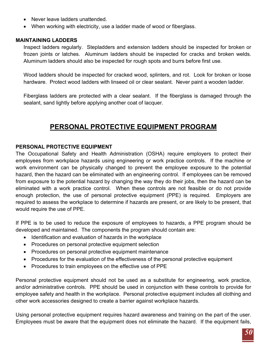- Never leave ladders unattended.
- When working with electricity, use a ladder made of wood or fiberglass.

#### **MAINTAINING LADDERS**

Inspect ladders regularly. Stepladders and extension ladders should be inspected for broken or frozen joints or latches. Aluminum ladders should be inspected for cracks and broken welds. Aluminum ladders should also be inspected for rough spots and burrs before first use.

Wood ladders should be inspected for cracked wood, splinters, and rot. Look for broken or loose hardware. Protect wood ladders with linseed oil or clear sealant. Never paint a wooden ladder.

Fiberglass ladders are protected with a clear sealant. If the fiberglass is damaged through the sealant, sand lightly before applying another coat of lacquer.

# **PERSONAL PROTECTIVE EQUIPMENT PROGRAM**

#### <span id="page-49-0"></span>**PERSONAL PROTECTIVE EQUIPMENT**

The Occupational Safety and Health Administration (OSHA) require employers to protect their employees from workplace hazards using engineering or work practice controls. If the machine or work environment can be physically changed to prevent the employee exposure to the potential hazard, then the hazard can be eliminated with an engineering control. If employees can be removed from exposure to the potential hazard by changing the way they do their jobs, then the hazard can be eliminated with a work practice control. When these controls are not feasible or do not provide enough protection, the use of personal protective equipment (PPE) is required. Employers are required to assess the workplace to determine if hazards are present, or are likely to be present, that would require the use of PPE.

If PPE is to be used to reduce the exposure of employees to hazards, a PPE program should be developed and maintained. The components the program should contain are:

- Identification and evaluation of hazards in the workplace
- Procedures on personal protective equipment selection
- Procedures on personal protective equipment maintenance
- Procedures for the evaluation of the effectiveness of the personal protective equipment
- Procedures to train employees on the effective use of PPE

Personal protective equipment should not be used as a substitute for engineering, work practice, and/or administrative controls. PPE should be used in conjunction with these controls to provide for employee safety and health in the workplace. Personal protective equipment includes all clothing and other work accessories designed to create a barrier against workplace hazards.

Using personal protective equipment requires hazard awareness and training on the part of the user. Employees must be aware that the equipment does not eliminate the hazard. If the equipment fails,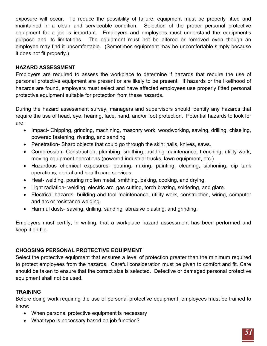exposure will occur. To reduce the possibility of failure, equipment must be properly fitted and maintained in a clean and serviceable condition. Selection of the proper personal protective equipment for a job is important. Employers and employees must understand the equipment's purpose and its limitations. The equipment must not be altered or removed even though an employee may find it uncomfortable. (Sometimes equipment may be uncomfortable simply because it does not fit properly.)

## **HAZARD ASSESSMENT**

Employers are required to assess the workplace to determine if hazards that require the use of personal protective equipment are present or are likely to be present. If hazards or the likelihood of hazards are found, employers must select and have affected employees use properly fitted personal protective equipment suitable for protection from these hazards.

During the hazard assessment survey, managers and supervisors should identify any hazards that require the use of head, eye, hearing, face, hand, and/or foot protection. Potential hazards to look for are:

- Impact- Chipping, grinding, machining, masonry work, woodworking, sawing, drilling, chiseling, powered fastening, riveting, and sanding
- Penetration- Sharp objects that could go through the skin: nails, knives, saws.
- Compression- Construction, plumbing, smithing, building maintenance, trenching, utility work, moving equipment operations (powered industrial trucks, lawn equipment, etc.)
- Hazardous chemical exposures- pouring, mixing, painting, cleaning, siphoning, dip tank operations, dental and health care services.
- Heat- welding, pouring molten metal, smithing, baking, cooking, and drying.
- Light radiation- welding: electric arc, gas cutting, torch brazing, soldering, and glare.
- Electrical hazards- building and tool maintenance, utility work, construction, wiring, computer and arc or resistance welding.
- Harmful dusts- sawing, drilling, sanding, abrasive blasting, and grinding.

Employers must certify, in writing, that a workplace hazard assessment has been performed and keep it on file.

## **CHOOSING PERSONAL PROTECTIVE EQUIPMENT**

Select the protective equipment that ensures a level of protection greater than the minimum required to protect employees from the hazards. Careful consideration must be given to comfort and fit. Care should be taken to ensure that the correct size is selected. Defective or damaged personal protective equipment shall not be used.

## **TRAINING**

Before doing work requiring the use of personal protective equipment, employees must be trained to know:

- When personal protective equipment is necessary
- What type is necessary based on job function?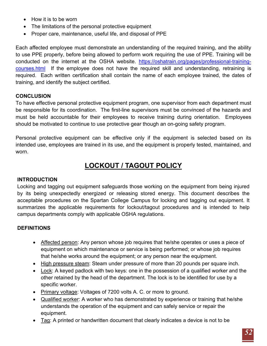- How it is to be worn
- The limitations of the personal protective equipment
- Proper care, maintenance, useful life, and disposal of PPE

Each affected employee must demonstrate an understanding of the required training, and the ability to use PPE properly, before being allowed to perform work requiring the use of PPE. Training will be conducted on the internet at the OSHA website. https://oshatrain.org/pages/professional-trainingcourses.html If the employee does not have the required skill and understanding, retraining is required. Each written certification shall contain the name of each employee trained, the dates of training, and identify the subject certified.

## **CONCLUSION**

To have effective personal protective equipment program, one supervisor from each department must be responsible for its coordination. The first-line supervisors must be convinced of the hazards and must be held accountable for their employees to receive training during orientation. Employees should be motivated to continue to use protective gear though an on-going safety program.

Personal protective equipment can be effective only if the equipment is selected based on its intended use, employees are trained in its use, and the equipment is properly tested, maintained, and worn.

# **LOCKOUT / TAGOUT POLICY**

## <span id="page-51-0"></span>**INTRODUCTION**

Locking and tagging out equipment safeguards those working on the equipment from being injured by its being unexpectedly energized or releasing stored energy. This document describes the acceptable procedures on the Spartan College Campus for locking and tagging out equipment. It summarizes the applicable requirements for lockout/tagout procedures and is intended to help campus departments comply with applicable OSHA regulations.

## **DEFINITIONS**

- Affected person: Any person whose job requires that he/she operates or uses a piece of equipment on which maintenance or service is being performed; or whose job requires that he/she works around the equipment; or any person near the equipment.
- High pressure steam: Steam under pressure of more than 20 pounds per square inch.
- Lock: A keyed padlock with two keys: one in the possession of a qualified worker and the other retained by the head of the department. The lock is to be identified for use by a specific worker.
- Primary voltage: Voltages of 7200 volts A. C. or more to ground.
- Qualified worker: A worker who has demonstrated by experience or training that he/she understands the operation of the equipment and can safely service or repair the equipment.
- Tag: A printed or handwritten document that clearly indicates a device is not to be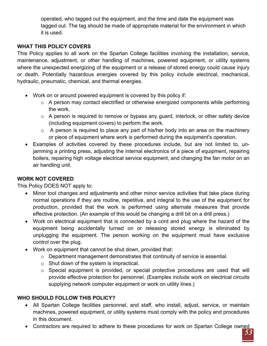operated, who tagged out the equipment, and the time and date the equipment was tagged out. The tag should be made of appropriate material for the environment in which it is used.

## **WHAT THIS POLICY COVERS**

This Policy applies to all work on the Spartan College facilities involving the installation, service, maintenance, adjustment, or other handling of machines, powered equipment, or utility systems where the unexpected energizing of the equipment or a release of stored energy could cause injury or death. Potentially hazardous energies covered by this policy include electrical, mechanical, hydraulic, pneumatic, chemical, and thermal energies.

- Work on or around powered equipment is covered by this policy if:
	- o A person may contact electrified or otherwise energized components while performing the work.
	- o A person is required to remove or bypass any guard, interlock, or other safety device (including equipment covers) to perform the work.
	- $\circ$  A person is required to place any part of his/her body into an area on the machinery or piece of equipment where work is performed during the equipment's operation.
- Examples of activities covered by these procedures include, but are not limited to, unjamming a printing press, adjusting the internal electronics of a piece of equipment, repairing boilers, repairing high voltage electrical service equipment, and changing the fan motor on an air handling unit.

## **WORK NOT COVERED**

This Policy DOES NOT apply to:

- Minor tool changes and adjustments and other minor service activities that take place during normal operations if they are routine, repetitive, and integral to the use of the equipment for production, provided that the work is performed using alternate measures that provide effective protection. (An example of this would be changing a drill bit on a drill press.)
- Work on electrical equipment that is connected by a cord and plug where the hazard of the equipment being accidentally turned on or releasing stored energy is eliminated by unplugging the equipment. The person working on the equipment must have exclusive control over the plug.
- Work on equipment that cannot be shut down, provided that:
	- o Department management demonstrates that continuity of service is essential.
	- $\circ$  Shut down of the system is impractical.
	- $\circ$  Special equipment is provided, or special protective procedures are used that will provide effective protection for personnel. (Examples include work on electrical circuits supplying network computer equipment or work on utility lines.)

## **WHO SHOULD FOLLOW THIS POLICY?**

- All Spartan College facilities personnel, and staff, who install, adjust, service, or maintain machines, powered equipment, or utility systems must comply with the policy and procedures in this document.
- Contractors are required to adhere to these procedures for work on Spartan College owned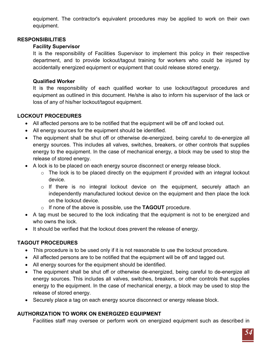equipment. The contractor's equivalent procedures may be applied to work on their own equipment.

#### **RESPONSIBILITIES**

## **Facility Supervisor**

It is the responsibility of Facilities Supervisor to implement this policy in their respective department, and to provide lockout/tagout training for workers who could be injured by accidentally energized equipment or equipment that could release stored energy.

## **Qualified Worker**

It is the responsibility of each qualified worker to use lockout/tagout procedures and equipment as outlined in this document. He/she is also to inform his supervisor of the lack or loss of any of his/her lockout/tagout equipment.

## **LOCKOUT PROCEDURES**

- All affected persons are to be notified that the equipment will be off and locked out.
- All energy sources for the equipment should be identified.
- The equipment shall be shut off or otherwise de-energized, being careful to de-energize all energy sources. This includes all valves, switches, breakers, or other controls that supplies energy to the equipment. In the case of mechanical energy, a block may be used to stop the release of stored energy.
- A lock is to be placed on each energy source disconnect or energy release block.
	- o The lock is to be placed directly on the equipment if provided with an integral lockout device.
	- o If there is no integral lockout device on the equipment, securely attach an independently manufactured lockout device on the equipment and then place the lock on the lockout device.
	- o If none of the above is possible, use the **TAGOUT** procedure.
- A tag must be secured to the lock indicating that the equipment is not to be energized and who owns the lock.
- It should be verified that the lockout does prevent the release of energy.

# **TAGOUT PROCEDURES**

- This procedure is to be used only if it is not reasonable to use the lockout procedure.
- All affected persons are to be notified that the equipment will be off and tagged out.
- All energy sources for the equipment should be identified.
- The equipment shall be shut off or otherwise de-energized, being careful to de-energize all energy sources. This includes all valves, switches, breakers, or other controls that supplies energy to the equipment. In the case of mechanical energy, a block may be used to stop the release of stored energy.
- Securely place a tag on each energy source disconnect or energy release block.

## **AUTHORIZATION TO WORK ON ENERGIZED EQUIPMENT**

Facilities staff may oversee or perform work on energized equipment such as described in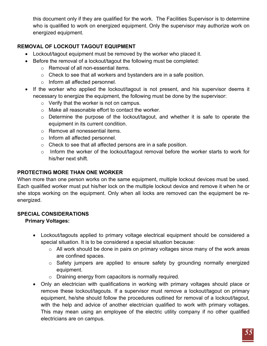this document only if they are qualified for the work. The Facilities Supervisor is to determine who is qualified to work on energized equipment. Only the supervisor may authorize work on energized equipment.

# **REMOVAL OF LOCKOUT TAGOUT EQUIPMENT**

- Lockout/tagout equipment must be removed by the worker who placed it.
- Before the removal of a lockout/tagout the following must be completed:
	- o Removal of all non-essential items.
	- o Check to see that all workers and bystanders are in a safe position.
	- o Inform all affected personnel.
- If the worker who applied the lockout/tagout is not present, and his supervisor deems it necessary to energize the equipment, the following must be done by the supervisor:
	- o Verify that the worker is not on campus.
	- o Make all reasonable effort to contact the worker.
	- o Determine the purpose of the lockout/tagout, and whether it is safe to operate the equipment in its current condition.
	- o Remove all nonessential items.
	- o Inform all affected personnel.
	- o Check to see that all affected persons are in a safe position.
	- o Inform the worker of the lockout/tagout removal before the worker starts to work for his/her next shift.

## **PROTECTING MORE THAN ONE WORKER**

When more than one person works on the same equipment, multiple lockout devices must be used. Each qualified worker must put his/her lock on the multiple lockout device and remove it when he or she stops working on the equipment. Only when all locks are removed can the equipment be reenergized.

## **SPECIAL CONSIDERATIONS**

## **Primary Voltages:**

- Lockout/tagouts applied to primary voltage electrical equipment should be considered a special situation. It is to be considered a special situation because:
	- o All work should be done in pairs on primary voltages since many of the work areas are confined spaces.
	- o Safety jumpers are applied to ensure safety by grounding normally energized equipment.
	- o Draining energy from capacitors is normally required.
- Only an electrician with qualifications in working with primary voltages should place or remove these lockout/tagouts. If a supervisor must remove a lockout/tagout on primary equipment, he/she should follow the procedures outlined for removal of a lockout/tagout, with the help and advice of another electrician qualified to work with primary voltages. This may mean using an employee of the electric utility company if no other qualified electricians are on campus.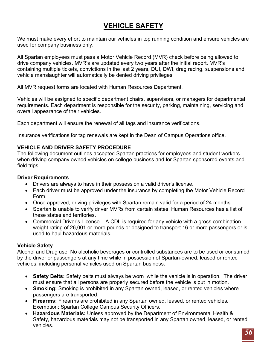# **VEHICLE SAFETY**

<span id="page-55-0"></span>We must make every effort to maintain our vehicles in top running condition and ensure vehicles are used for company business only.

All Spartan employees must pass a Motor Vehicle Record (MVR) check before being allowed to drive company vehicles. MVR's are updated every two years after the initial report. MVR's containing multiple tickets, convictions in the last 2 years, DUI, DWI, drag racing, suspensions and vehicle manslaughter will automatically be denied driving privileges.

All MVR request forms are located with Human Resources Department.

Vehicles will be assigned to specific department chairs, supervisors, or managers for departmental requirements. Each department is responsible for the security, parking, maintaining, servicing and overall appearance of their vehicles.

Each department will ensure the renewal of all tags and insurance verifications.

Insurance verifications for tag renewals are kept in the Dean of Campus Operations office.

## **VEHICLE AND DRIVER SAFETY PROCEDURE**

The following document outlines accepted Spartan practices for employees and student workers when driving company owned vehicles on college business and for Spartan sponsored events and field trips.

## **Driver Requirements**

- Drivers are always to have in their possession a valid driver's license.
- Each driver must be approved under the insurance by completing the Motor Vehicle Record Form.
- Once approved, driving privileges with Spartan remain valid for a period of 24 months.
- Spartan is unable to verify driver MVRs from certain states. Human Resources has a list of these states and territories.
- Commercial Driver's License A CDL is required for any vehicle with a gross combination weight rating of 26,001 or more pounds or designed to transport 16 or more passengers or is used to haul hazardous materials.

## **Vehicle Safety**

Alcohol and Drug use: No alcoholic beverages or controlled substances are to be used or consumed by the driver or passengers at any time while in possession of Spartan-owned, leased or rented vehicles, including personal vehicles used on Spartan business.

- **Safety Belts:** Safety belts must always be worn while the vehicle is in operation. The driver must ensure that all persons are properly secured before the vehicle is put in motion.
- **Smoking:** Smoking is prohibited in any Spartan owned, leased, or rented vehicles where passengers are transported.
- **Firearms:** Firearms are prohibited in any Spartan owned, leased, or rented vehicles. Exemption: Spartan College Campus Security Officers.
- **Hazardous Materials:** Unless approved by the Department of Environmental Health & Safety, hazardous materials may not be transported in any Spartan owned, leased, or rented vehicles.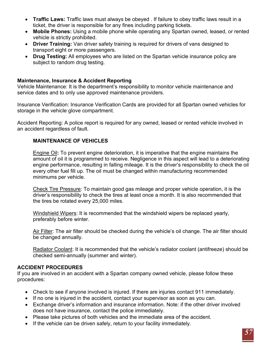- **Traffic Laws:** Traffic laws must always be obeyed . If failure to obey traffic laws result in a ticket, the driver is responsible for any fines including parking tickets.
- **Mobile Phones:** Using a mobile phone while operating any Spartan owned, leased, or rented vehicle is strictly prohibited.
- **Driver Training:** Van driver safety training is required for drivers of vans designed to transport eight or more passengers.
- **Drug Testing:** All employees who are listed on the Spartan vehicle insurance policy are subject to random drug testing.

#### **Maintenance, Insurance & Accident Reporting**

Vehicle Maintenance: It is the department's responsibility to monitor vehicle maintenance and service dates and to only use approved maintenance providers.

Insurance Verification: Insurance Verification Cards are provided for all Spartan owned vehicles for storage in the vehicle glove compartment.

Accident Reporting: A police report is required for any owned, leased or rented vehicle involved in an accident regardless of fault.

#### **MAINTENANCE OF VEHICLES**

Engine Oil**:** To prevent engine deterioration, it is imperative that the engine maintains the amount of oil it is programmed to receive. Negligence in this aspect will lead to a deteriorating engine performance, resulting in falling mileage. It is the driver's responsibility to check the oil every other fuel fill up. The oil must be changed within manufacturing recommended minimums per vehicle.

Check Tire Pressure: To maintain good gas mileage and proper vehicle operation, it is the driver's responsibility to check the tires at least once a month. It is also recommended that the tires be rotated every 25,000 miles.

Windshield Wipers: It is recommended that the windshield wipers be replaced yearly, preferably before winter.

Air Filter: The air filter should be checked during the vehicle's oil change. The air filter should be changed annually.

Radiator Coolant: It is recommended that the vehicle's radiator coolant (antifreeze) should be checked semi-annually (summer and winter).

#### **ACCIDENT PROCEDURES**

If you are involved in an accident with a Spartan company owned vehicle, please follow these procedures:

- Check to see if anyone involved is injured. If there are injuries contact 911 immediately.
- If no one is injured in the accident, contact your supervisor as soon as you can.
- Exchange driver's information and insurance information. Note: if the other driver involved does not have insurance, contact the police immediately.
- Please take pictures of both vehicles and the immediate area of the accident.
- If the vehicle can be driven safely, return to your facility immediately.